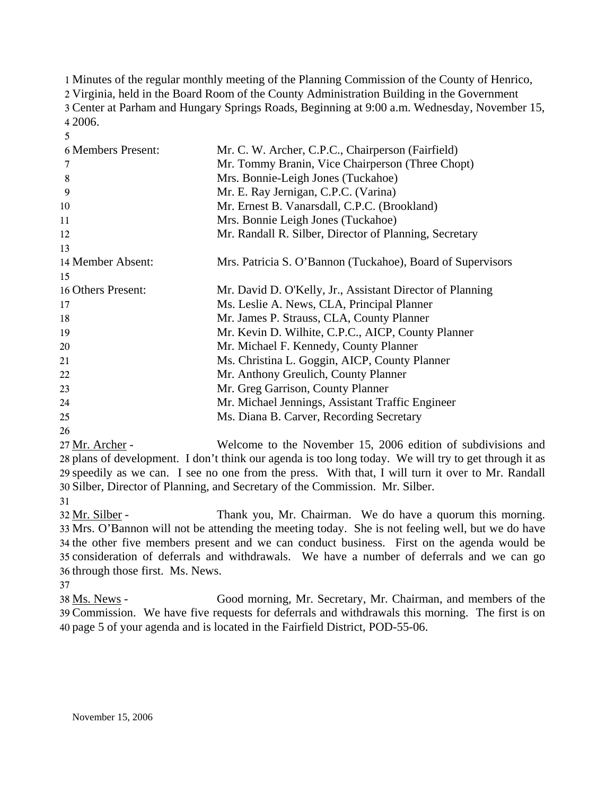Minutes of the regular monthly meeting of the Planning Commission of the County of Henrico, Virginia, held in the Board Room of the County Administration Building in the Government Center at Parham and Hungary Springs Roads, Beginning at 9:00 a.m. Wednesday, November 15, 4 2006.

| 6 Members Present: | Mr. C. W. Archer, C.P.C., Chairperson (Fairfield)          |
|--------------------|------------------------------------------------------------|
| 7                  | Mr. Tommy Branin, Vice Chairperson (Three Chopt)           |
| 8                  | Mrs. Bonnie-Leigh Jones (Tuckahoe)                         |
| 9                  | Mr. E. Ray Jernigan, C.P.C. (Varina)                       |
| 10                 | Mr. Ernest B. Vanarsdall, C.P.C. (Brookland)               |
| 11                 | Mrs. Bonnie Leigh Jones (Tuckahoe)                         |
| 12                 | Mr. Randall R. Silber, Director of Planning, Secretary     |
| 13                 |                                                            |
| 14 Member Absent:  | Mrs. Patricia S. O'Bannon (Tuckahoe), Board of Supervisors |
| 15                 |                                                            |
| 16 Others Present: | Mr. David D. O'Kelly, Jr., Assistant Director of Planning  |
| 17                 | Ms. Leslie A. News, CLA, Principal Planner                 |
| 18                 | Mr. James P. Strauss, CLA, County Planner                  |
| 19                 | Mr. Kevin D. Wilhite, C.P.C., AICP, County Planner         |
| 20                 | Mr. Michael F. Kennedy, County Planner                     |
| 21                 | Ms. Christina L. Goggin, AICP, County Planner              |
| 22                 | Mr. Anthony Greulich, County Planner                       |
| 23                 | Mr. Greg Garrison, County Planner                          |
| 24                 | Mr. Michael Jennings, Assistant Traffic Engineer           |
| 25                 | Ms. Diana B. Carver, Recording Secretary                   |
| 26                 |                                                            |

Welcome to the November 15, 2006 edition of subdivisions and 28 plans of development. I don't think our agenda is too long today. We will try to get through it as 29 speedily as we can. I see no one from the press. With that, I will turn it over to Mr. Randall Silber, Director of Planning, and Secretary of the Commission. Mr. Silber. 30 27 Mr. Archer -

31

5

Thank you, Mr. Chairman. We do have a quorum this morning. 33 Mrs. O'Bannon will not be attending the meeting today. She is not feeling well, but we do have 34 the other five members present and we can conduct business. First on the agenda would be 35 consideration of deferrals and withdrawals. We have a number of deferrals and we can go 36 through those first. Ms. News. 32 Mr. Silber -

37

Good morning, Mr. Secretary, Mr. Chairman, and members of the Commission. We have five requests for deferrals and withdrawals this morning. The first is on 39 page 5 of your agenda and is located in the Fairfield District, POD-55-06. 40 38 Ms. News -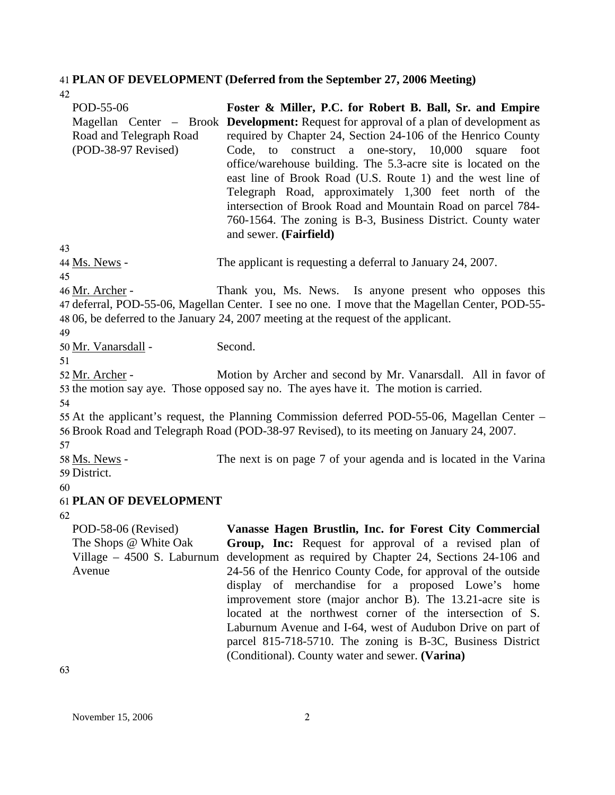## 41 **PLAN OF DEVELOPMENT (Deferred from the September 27, 2006 Meeting)**

| 42                                                                                    |                                                                                                                                                                                                                                                                                                                                                                                                                                                                                                                                                                                                                                  |
|---------------------------------------------------------------------------------------|----------------------------------------------------------------------------------------------------------------------------------------------------------------------------------------------------------------------------------------------------------------------------------------------------------------------------------------------------------------------------------------------------------------------------------------------------------------------------------------------------------------------------------------------------------------------------------------------------------------------------------|
| POD-55-06<br>Road and Telegraph Road<br>(POD-38-97 Revised)                           | Foster & Miller, P.C. for Robert B. Ball, Sr. and Empire<br>Magellan Center – Brook Development: Request for approval of a plan of development as<br>required by Chapter 24, Section 24-106 of the Henrico County<br>Code, to construct a one-story, 10,000<br>foot<br>square<br>office/warehouse building. The 5.3-acre site is located on the<br>east line of Brook Road (U.S. Route 1) and the west line of<br>Telegraph Road, approximately 1,300 feet north of the<br>intersection of Brook Road and Mountain Road on parcel 784-<br>760-1564. The zoning is B-3, Business District. County water<br>and sewer. (Fairfield) |
| 43                                                                                    |                                                                                                                                                                                                                                                                                                                                                                                                                                                                                                                                                                                                                                  |
| 44 Ms. News -<br>45                                                                   | The applicant is requesting a deferral to January 24, 2007.                                                                                                                                                                                                                                                                                                                                                                                                                                                                                                                                                                      |
| 46 Mr. Archer -<br>49                                                                 | Thank you, Ms. News. Is anyone present who opposes this<br>47 deferral, POD-55-06, Magellan Center. I see no one. I move that the Magellan Center, POD-55-<br>48 06, be deferred to the January 24, 2007 meeting at the request of the applicant.                                                                                                                                                                                                                                                                                                                                                                                |
| 50 Mr. Vanarsdall -                                                                   | Second.                                                                                                                                                                                                                                                                                                                                                                                                                                                                                                                                                                                                                          |
| 51                                                                                    |                                                                                                                                                                                                                                                                                                                                                                                                                                                                                                                                                                                                                                  |
| 52 Mr. Archer -<br>54                                                                 | Motion by Archer and second by Mr. Vanarsdall. All in favor of<br>53 the motion say aye. Those opposed say no. The ayes have it. The motion is carried.                                                                                                                                                                                                                                                                                                                                                                                                                                                                          |
| 57                                                                                    | 55 At the applicant's request, the Planning Commission deferred POD-55-06, Magellan Center –<br>56 Brook Road and Telegraph Road (POD-38-97 Revised), to its meeting on January 24, 2007.                                                                                                                                                                                                                                                                                                                                                                                                                                        |
| 58 Ms. News -<br>59 District.                                                         | The next is on page 7 of your agenda and is located in the Varina                                                                                                                                                                                                                                                                                                                                                                                                                                                                                                                                                                |
| 60                                                                                    |                                                                                                                                                                                                                                                                                                                                                                                                                                                                                                                                                                                                                                  |
| <b>61 PLAN OF DEVELOPMENT</b>                                                         |                                                                                                                                                                                                                                                                                                                                                                                                                                                                                                                                                                                                                                  |
| 62                                                                                    |                                                                                                                                                                                                                                                                                                                                                                                                                                                                                                                                                                                                                                  |
| POD-58-06 (Revised)<br>The Shops @ White Oak<br>Village $-4500$ S. Laburnum<br>Avenue | Vanasse Hagen Brustlin, Inc. for Forest City Commercial<br><b>Group, Inc:</b> Request for approval of a revised plan of<br>development as required by Chapter 24, Sections 24-106 and<br>24-56 of the Henrico County Code, for approval of the outside<br>display of merchandise for a proposed Lowe's home<br>improvement store (major anchor B). The 13.21-acre site is<br>located at the northwest corner of the intersection of S.<br>Laburnum Avenue and I-64, west of Audubon Drive on part of<br>parcel 815-718-5710. The zoning is B-3C, Business District<br>(Conditional). County water and sewer. (Varina)            |

63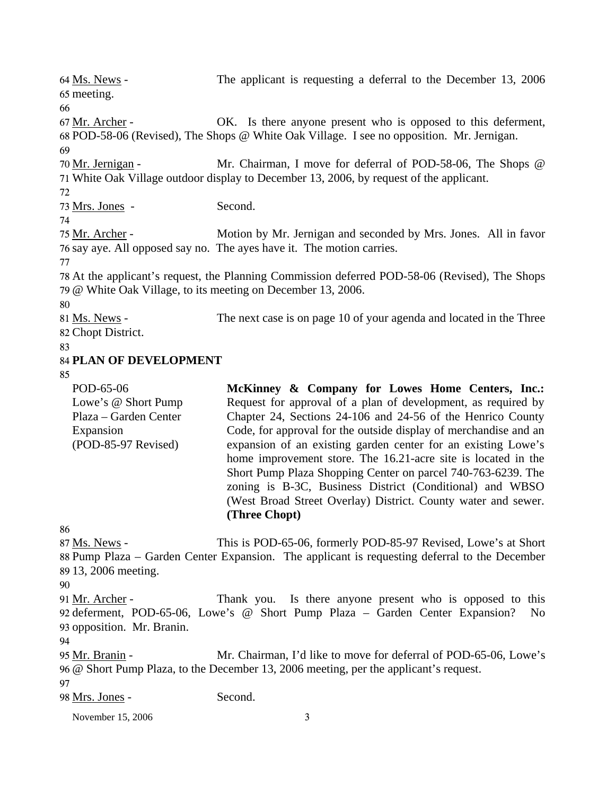November 15, 2006 3 The applicant is requesting a deferral to the December 13, 2006 65 meeting. 64 Ms. News -66 OK. Is there anyone present who is opposed to this deferment, POD-58-06 (Revised), The Shops @ White Oak Village. I see no opposition. Mr. Jernigan. 68 67 Mr. Archer -69 Mr. Chairman, I move for deferral of POD-58-06, The Shops @ White Oak Village outdoor display to December 13, 2006, by request of the applicant. 71 70 Mr. Jernigan -72 73 Mrs. Jones - Second. 74 Motion by Mr. Jernigan and seconded by Mrs. Jones. All in favor 76 say aye. All opposed say no. The ayes have it. The motion carries. 75 Mr. Archer -77 78 At the applicant's request, the Planning Commission deferred POD-58-06 (Revised), The Shops 79 @ White Oak Village, to its meeting on December 13, 2006. 80 The next case is on page 10 of your agenda and located in the Three 82 Chopt District. 81 Ms. News -83 84 **PLAN OF DEVELOPMENT**  85 POD-65-06 Lowe's @ Short Pump Plaza – Garden Center Expansion (POD-85-97 Revised) **McKinney & Company for Lowes Home Centers, Inc.:**  Request for approval of a plan of development, as required by Chapter 24, Sections 24-106 and 24-56 of the Henrico County Code, for approval for the outside display of merchandise and an expansion of an existing garden center for an existing Lowe's home improvement store. The 16.21-acre site is located in the Short Pump Plaza Shopping Center on parcel 740-763-6239. The zoning is B-3C, Business District (Conditional) and WBSO (West Broad Street Overlay) District. County water and sewer. **(Three Chopt)**  86 This is POD-65-06, formerly POD-85-97 Revised, Lowe's at Short 88 Pump Plaza – Garden Center Expansion. The applicant is requesting deferral to the December 13, 2006 meeting. 89 87 Ms. News -90 Thank you. Is there anyone present who is opposed to this 92 deferment, POD-65-06, Lowe's @ Short Pump Plaza – Garden Center Expansion? No 93 opposition. Mr. Branin. 91 Mr. Archer -94 Mr. Chairman, I'd like to move for deferral of POD-65-06, Lowe's @ Short Pump Plaza, to the December 13, 2006 meeting, per the applicant's request. 96 95 Mr. Branin -97 98 Mrs. Jones - Second.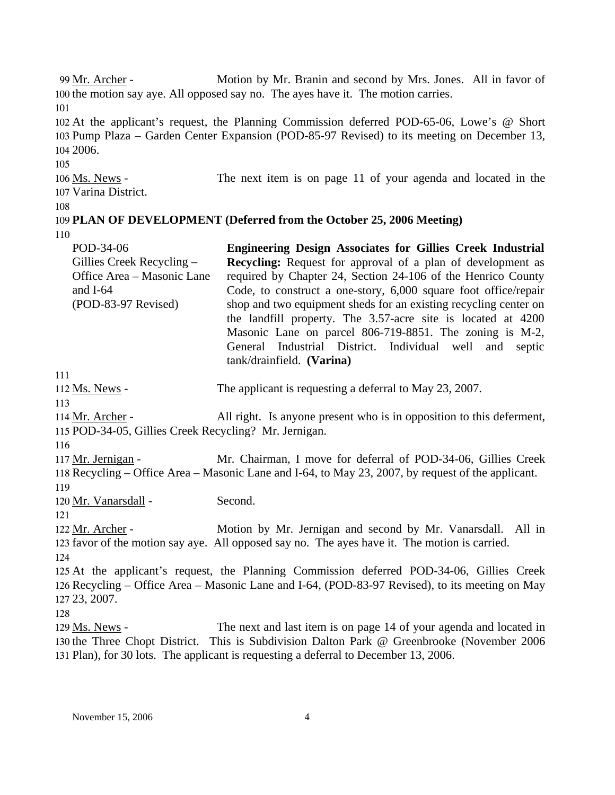Motion by Mr. Branin and second by Mrs. Jones. All in favor of 100 the motion say aye. All opposed say no. The ayes have it. The motion carries. 99 Mr. Archer -101 102 At the applicant's request, the Planning Commission deferred POD-65-06, Lowe's @ Short 103 Pump Plaza – Garden Center Expansion (POD-85-97 Revised) to its meeting on December 13, 104 2006. 105 The next item is on page 11 of your agenda and located in the 107 Varina District. 106 Ms. News -108 109 **PLAN OF DEVELOPMENT (Deferred from the October 25, 2006 Meeting)**  110 POD-34-06 Gillies Creek Recycling – Office Area – Masonic Lane and I-64 (POD-83-97 Revised) **Engineering Design Associates for Gillies Creek Industrial Recycling:** Request for approval of a plan of development as required by Chapter 24, Section 24-106 of the Henrico County Code, to construct a one-story, 6,000 square foot office/repair shop and two equipment sheds for an existing recycling center on the landfill property. The 3.57-acre site is located at 4200 Masonic Lane on parcel 806-719-8851. The zoning is M-2, General Industrial District. Individual well and septic tank/drainfield. **(Varina)**  111 112 Ms. News - The applicant is requesting a deferral to May 23, 2007. 113 All right. Is anyone present who is in opposition to this deferment, 115 POD-34-05, Gillies Creek Recycling? Mr. Jernigan. 114 Mr. Archer -116 Mr. Chairman, I move for deferral of POD-34-06, Gillies Creek 118 Recycling – Office Area – Masonic Lane and I-64, to May 23, 2007, by request of the applicant. 117 Mr. Jernigan -119 120 Mr. Vanarsdall - Second. 121 Motion by Mr. Jernigan and second by Mr. Vanarsdall. All in 123 favor of the motion say aye. All opposed say no. The ayes have it. The motion is carried. 122 Mr. Archer -124 125 At the applicant's request, the Planning Commission deferred POD-34-06, Gillies Creek 126 Recycling – Office Area – Masonic Lane and I-64, (POD-83-97 Revised), to its meeting on May 127 23, 2007. 128 The next and last item is on page 14 of your agenda and located in 130 the Three Chopt District. This is Subdivision Dalton Park @ Greenbrooke (November 2006 Plan), for 30 lots. The applicant is requesting a deferral to December 13, 2006. 131 129 Ms. News -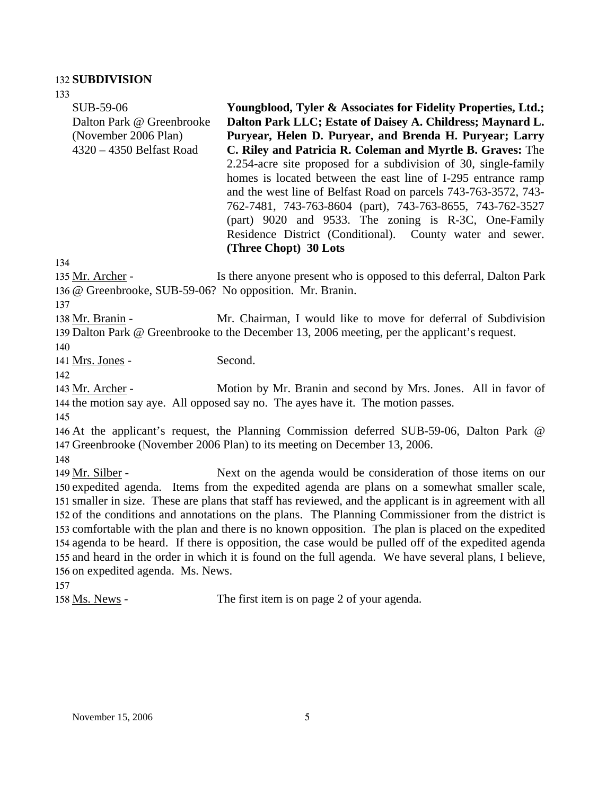#### 132 **SUBDIVISION**

133 SUB-59-06 Dalton Park @ Greenbrooke (November 2006 Plan) 4320 – 4350 Belfast Road **Youngblood, Tyler & Associates for Fidelity Properties, Ltd.; Dalton Park LLC; Estate of Daisey A. Childress; Maynard L. Puryear, Helen D. Puryear, and Brenda H. Puryear; Larry C. Riley and Patricia R. Coleman and Myrtle B. Graves:** The 2.254-acre site proposed for a subdivision of 30, single-family homes is located between the east line of I-295 entrance ramp and the west line of Belfast Road on parcels 743-763-3572, 743- 762-7481, 743-763-8604 (part), 743-763-8655, 743-762-3527 (part) 9020 and 9533. The zoning is R-3C, One-Family Residence District (Conditional). County water and sewer. **(Three Chopt) 30 Lots**  134 Is there anyone present who is opposed to this deferral, Dalton Park @ Greenbrooke, SUB-59-06? No opposition. Mr. Branin. 136 135 Mr. Archer -137 Mr. Chairman, I would like to move for deferral of Subdivision 139 Dalton Park @ Greenbrooke to the December 13, 2006 meeting, per the applicant's request. 138 Mr. Branin -140 141 Mrs. Jones - Second. 142 Motion by Mr. Branin and second by Mrs. Jones. All in favor of 144 the motion say aye. All opposed say no. The ayes have it. The motion passes. 143 Mr. Archer -145 146 At the applicant's request, the Planning Commission deferred SUB-59-06, Dalton Park @ 147 Greenbrooke (November 2006 Plan) to its meeting on December 13, 2006. 148 Next on the agenda would be consideration of those items on our 150 expedited agenda. Items from the expedited agenda are plans on a somewhat smaller scale, 151 smaller in size. These are plans that staff has reviewed, and the applicant is in agreement with all 152 of the conditions and annotations on the plans. The Planning Commissioner from the district is 153 comfortable with the plan and there is no known opposition. The plan is placed on the expedited 154 agenda to be heard. If there is opposition, the case would be pulled off of the expedited agenda 155 and heard in the order in which it is found on the full agenda. We have several plans, I believe, 156 on expedited agenda. Ms. News. 149 Mr. Silber -157 158 Ms. News - The first item is on page 2 of your agenda.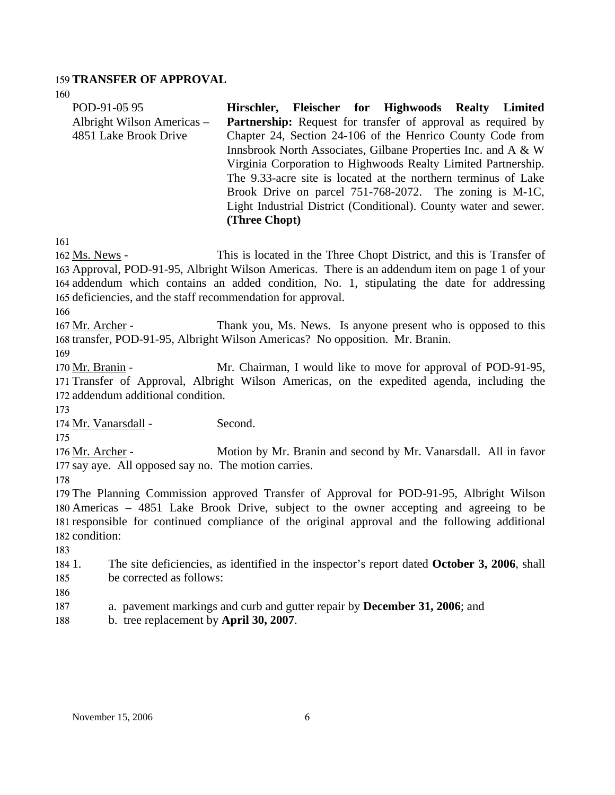## 159 **TRANSFER OF APPROVAL**

160

| POD-91-05 95<br>Albright Wilson Americas -<br>4851 Lake Brook Drive | Hirschler, Fleischer for Highwoods Realty Limited<br>Partnership: Request for transfer of approval as required by<br>Chapter 24, Section 24-106 of the Henrico County Code from<br>Innsbrook North Associates, Gilbane Properties Inc. and A & W<br>Virginia Corporation to Highwoods Realty Limited Partnership.<br>The 9.33-acre site is located at the northern terminus of Lake<br>Brook Drive on parcel 751-768-2072. The zoning is M-1C,<br>Light Industrial District (Conditional). County water and sewer.<br>(Three Chopt) |
|---------------------------------------------------------------------|-------------------------------------------------------------------------------------------------------------------------------------------------------------------------------------------------------------------------------------------------------------------------------------------------------------------------------------------------------------------------------------------------------------------------------------------------------------------------------------------------------------------------------------|
| 161                                                                 |                                                                                                                                                                                                                                                                                                                                                                                                                                                                                                                                     |
| 162 Ms. News -                                                      | This is located in the Three Chopt District, and this is Transfer of                                                                                                                                                                                                                                                                                                                                                                                                                                                                |
|                                                                     | 163 Approval, POD-91-95, Albright Wilson Americas. There is an addendum item on page 1 of your                                                                                                                                                                                                                                                                                                                                                                                                                                      |
|                                                                     | 164 addendum which contains an added condition, No. 1, stipulating the date for addressing                                                                                                                                                                                                                                                                                                                                                                                                                                          |
| 165 deficiencies, and the staff recommendation for approval.        |                                                                                                                                                                                                                                                                                                                                                                                                                                                                                                                                     |
| 166                                                                 |                                                                                                                                                                                                                                                                                                                                                                                                                                                                                                                                     |
| 167 Mr. Archer -                                                    | Thank you, Ms. News. Is anyone present who is opposed to this                                                                                                                                                                                                                                                                                                                                                                                                                                                                       |
| 169                                                                 | 168 transfer, POD-91-95, Albright Wilson Americas? No opposition. Mr. Branin.                                                                                                                                                                                                                                                                                                                                                                                                                                                       |
| 170 Mr. Branin -                                                    | Mr. Chairman, I would like to move for approval of POD-91-95,                                                                                                                                                                                                                                                                                                                                                                                                                                                                       |
|                                                                     | 171 Transfer of Approval, Albright Wilson Americas, on the expedited agenda, including the                                                                                                                                                                                                                                                                                                                                                                                                                                          |
| 172 addendum additional condition.                                  |                                                                                                                                                                                                                                                                                                                                                                                                                                                                                                                                     |
| 173                                                                 |                                                                                                                                                                                                                                                                                                                                                                                                                                                                                                                                     |
| 174 Mr. Vanarsdall -                                                | Second.                                                                                                                                                                                                                                                                                                                                                                                                                                                                                                                             |
| 175                                                                 |                                                                                                                                                                                                                                                                                                                                                                                                                                                                                                                                     |
| 176 Mr. Archer -                                                    | Motion by Mr. Branin and second by Mr. Vanarsdall. All in favor                                                                                                                                                                                                                                                                                                                                                                                                                                                                     |
| 177 say aye. All opposed say no. The motion carries.                |                                                                                                                                                                                                                                                                                                                                                                                                                                                                                                                                     |
| 178                                                                 |                                                                                                                                                                                                                                                                                                                                                                                                                                                                                                                                     |
|                                                                     | 179 The Planning Commission approved Transfer of Approval for POD-91-95, Albright Wilson                                                                                                                                                                                                                                                                                                                                                                                                                                            |
|                                                                     | 180 Americas – 4851 Lake Brook Drive, subject to the owner accepting and agreeing to be                                                                                                                                                                                                                                                                                                                                                                                                                                             |
|                                                                     | 181 responsible for continued compliance of the original approval and the following additional                                                                                                                                                                                                                                                                                                                                                                                                                                      |
| 182 condition:                                                      |                                                                                                                                                                                                                                                                                                                                                                                                                                                                                                                                     |
| 183<br>184 1.                                                       | The site deficiencies, as identified in the inspector's report dated <b>October 3, 2006</b> , shall                                                                                                                                                                                                                                                                                                                                                                                                                                 |
| be corrected as follows:<br>185                                     |                                                                                                                                                                                                                                                                                                                                                                                                                                                                                                                                     |
| 186                                                                 |                                                                                                                                                                                                                                                                                                                                                                                                                                                                                                                                     |
| 187                                                                 | a. pavement markings and curb and gutter repair by <b>December 31, 2006</b> ; and                                                                                                                                                                                                                                                                                                                                                                                                                                                   |
| b. tree replacement by April 30, 2007.<br>188                       |                                                                                                                                                                                                                                                                                                                                                                                                                                                                                                                                     |
|                                                                     |                                                                                                                                                                                                                                                                                                                                                                                                                                                                                                                                     |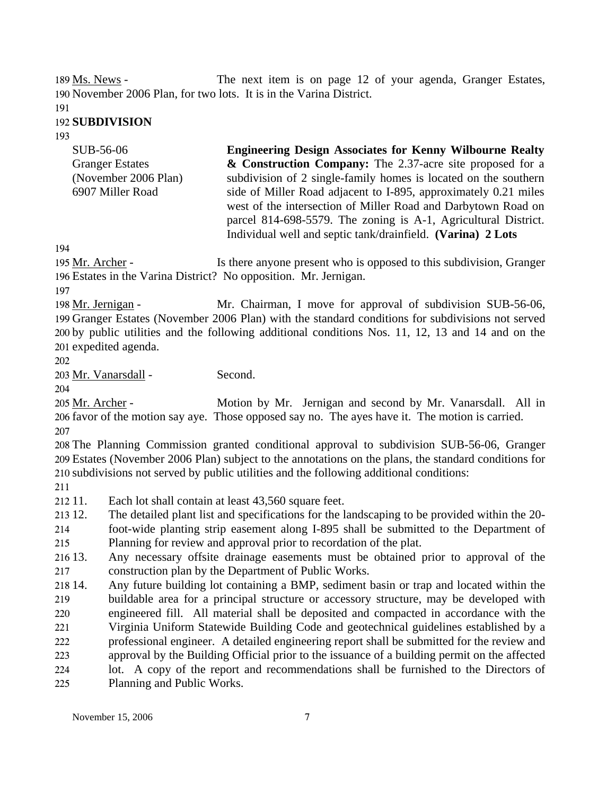The next item is on page 12 of your agenda, Granger Estates, 190 November 2006 Plan, for two lots. It is in the Varina District. 189 Ms. News -

191

### 192 **SUBDIVISION**

193

| SUB-56-06              | <b>Engineering Design Associates for Kenny Wilbourne Realty</b> |
|------------------------|-----------------------------------------------------------------|
| <b>Granger Estates</b> | & Construction Company: The 2.37-acre site proposed for a       |
| (November 2006 Plan)   | subdivision of 2 single-family homes is located on the southern |
| 6907 Miller Road       | side of Miller Road adjacent to I-895, approximately 0.21 miles |
|                        | west of the intersection of Miller Road and Darbytown Road on   |
|                        | parcel 814-698-5579. The zoning is A-1, Agricultural District.  |

Individual well and septic tank/drainfield. **(Varina) 2 Lots** 

194

Is there anyone present who is opposed to this subdivision, Granger Estates in the Varina District? No opposition. Mr. Jernigan. 196 195 Mr. Archer -

197

Mr. Chairman, I move for approval of subdivision SUB-56-06, 199 Granger Estates (November 2006 Plan) with the standard conditions for subdivisions not served 200 by public utilities and the following additional conditions Nos. 11, 12, 13 and 14 and on the 201 expedited agenda. 198 Mr. Jernigan -

202

203 Mr. Vanarsdall - Second.

204

Motion by Mr. Jernigan and second by Mr. Vanarsdall. All in 206 favor of the motion say aye. Those opposed say no. The ayes have it. The motion is carried. 205 Mr. Archer -207

208 The Planning Commission granted conditional approval to subdivision SUB-56-06, Granger 209 Estates (November 2006 Plan) subject to the annotations on the plans, the standard conditions for 210 subdivisions not served by public utilities and the following additional conditions:

211

 $21211.$ Each lot shall contain at least 43,560 square feet.

213 12. 12. The detailed plant list and specifications for the landscaping to be provided within the 20-

214 foot-wide planting strip easement along I-895 shall be submitted to the Department of

215 Planning for review and approval prior to recordation of the plat.

 $216\,13.$ 217 Any necessary offsite drainage easements must be obtained prior to approval of the construction plan by the Department of Public Works.

218 14. 219 220 221 222 223 224 225 14. Any future building lot containing a BMP, sediment basin or trap and located within the buildable area for a principal structure or accessory structure, may be developed with engineered fill. All material shall be deposited and compacted in accordance with the Virginia Uniform Statewide Building Code and geotechnical guidelines established by a professional engineer. A detailed engineering report shall be submitted for the review and approval by the Building Official prior to the issuance of a building permit on the affected lot. A copy of the report and recommendations shall be furnished to the Directors of Planning and Public Works.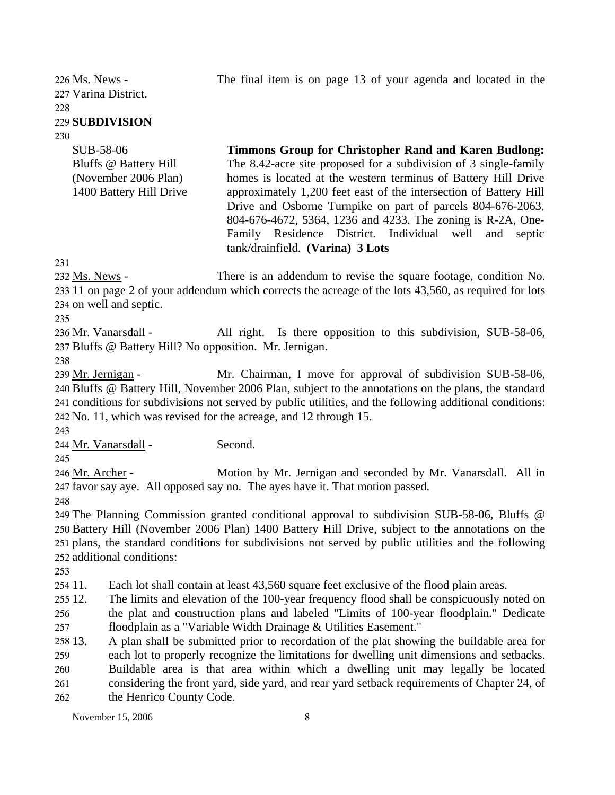The final item is on page 13 of your agenda and located in the

227 Varina District. 226 Ms. News -228

## 229 **SUBDIVISION**

SUB-58-06

230

Bluffs @ Battery Hill (November 2006 Plan) 1400 Battery Hill Drive **Timmons Group for Christopher Rand and Karen Budlong:**  The 8.42-acre site proposed for a subdivision of 3 single-family homes is located at the western terminus of Battery Hill Drive approximately 1,200 feet east of the intersection of Battery Hill Drive and Osborne Turnpike on part of parcels 804-676-2063, 804-676-4672, 5364, 1236 and 4233. The zoning is R-2A, One-Family Residence District. Individual well and septic tank/drainfield. **(Varina) 3 Lots** 

231

There is an addendum to revise the square footage, condition No. 233 11 on page 2 of your addendum which corrects the acreage of the lots 43,560, as required for lots 234 on well and septic. 232 Ms. News -

235

All right. Is there opposition to this subdivision, SUB-58-06, 237 Bluffs @ Battery Hill? No opposition. Mr. Jernigan. 236 Mr. Vanarsdall -

238

Mr. Chairman, I move for approval of subdivision SUB-58-06, 240 Bluffs @ Battery Hill, November 2006 Plan, subject to the annotations on the plans, the standard 241 conditions for subdivisions not served by public utilities, and the following additional conditions: 242 No. 11, which was revised for the acreage, and 12 through 15. 239 Mr. Jernigan -

243

245

244 Mr. Vanarsdall - Second.

Motion by Mr. Jernigan and seconded by Mr. Vanarsdall. All in 247 favor say aye. All opposed say no. The ayes have it. That motion passed. 246 Mr. Archer -

248

 The Planning Commission granted conditional approval to subdivision SUB-58-06, Bluffs @ Battery Hill (November 2006 Plan) 1400 Battery Hill Drive, subject to the annotations on the plans, the standard conditions for subdivisions not served by public utilities and the following additional conditions:

253

254 11. Each lot shall contain at least 43,560 square feet exclusive of the flood plain areas.

 $25512.$ 256 The limits and elevation of the 100-year frequency flood shall be conspicuously noted on the plat and construction plans and labeled "Limits of 100-year floodplain." Dedicate

257 floodplain as a "Variable Width Drainage & Utilities Easement."

258 13. 13. A plan shall be submitted prior to recordation of the plat showing the buildable area for

259 260 261 262 each lot to properly recognize the limitations for dwelling unit dimensions and setbacks. Buildable area is that area within which a dwelling unit may legally be located considering the front yard, side yard, and rear yard setback requirements of Chapter 24, of the Henrico County Code.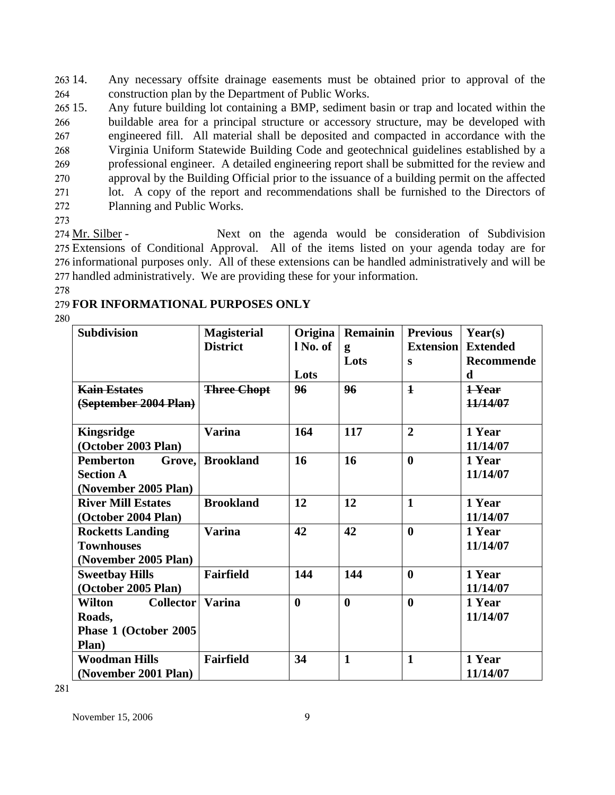Any necessary offsite drainage easements must be obtained prior to approval of the construction plan by the Department of Public Works. 263 14. 264

 $265\,15.$ 266 267 268 269 270 271 272 Any future building lot containing a BMP, sediment basin or trap and located within the buildable area for a principal structure or accessory structure, may be developed with engineered fill. All material shall be deposited and compacted in accordance with the Virginia Uniform Statewide Building Code and geotechnical guidelines established by a professional engineer. A detailed engineering report shall be submitted for the review and approval by the Building Official prior to the issuance of a building permit on the affected lot. A copy of the report and recommendations shall be furnished to the Directors of Planning and Public Works.

273

Next on the agenda would be consideration of Subdivision 275 Extensions of Conditional Approval. All of the items listed on your agenda today are for 276 informational purposes only. All of these extensions can be handled administratively and will be 277 handled administratively. We are providing these for your information. 274 Mr. Silber -

278

## 279 **FOR INFORMATIONAL PURPOSES ONLY**

280

| <b>Subdivision</b>                | <b>Magisterial</b> | Origina          | <b>Remainin</b> | <b>Previous</b>  | Year(s)         |
|-----------------------------------|--------------------|------------------|-----------------|------------------|-----------------|
|                                   | <b>District</b>    | l No. of         | g               | <b>Extension</b> | <b>Extended</b> |
|                                   |                    |                  | Lots            | $\bf{s}$         | Recommende      |
|                                   |                    | Lots             |                 |                  | d               |
| <b>Kain Estates</b>               | <b>Three Chopt</b> | 96               | 96              | $\mathbf{1}$     | 1-Year          |
| (September 2004 Plan)             |                    |                  |                 |                  | 11/14/07        |
|                                   |                    |                  |                 |                  |                 |
| <b>Kingsridge</b>                 | <b>Varina</b>      | 164              | 117             | $\overline{2}$   | 1 Year          |
| (October 2003 Plan)               |                    |                  |                 |                  | 11/14/07        |
| Pemberton<br>Grove.               | <b>Brookland</b>   | 16               | 16              | $\bf{0}$         | 1 Year          |
| <b>Section A</b>                  |                    |                  |                 |                  | 11/14/07        |
| (November 2005 Plan)              |                    |                  |                 |                  |                 |
| <b>River Mill Estates</b>         | <b>Brookland</b>   | 12               | 12              | $\mathbf{1}$     | 1 Year          |
| (October 2004 Plan)               |                    |                  |                 |                  | 11/14/07        |
| <b>Rocketts Landing</b>           | <b>Varina</b>      | 42               | 42              | $\mathbf{0}$     | 1 Year          |
| <b>Townhouses</b>                 |                    |                  |                 |                  | 11/14/07        |
| (November 2005 Plan)              |                    |                  |                 |                  |                 |
| <b>Sweetbay Hills</b>             | <b>Fairfield</b>   | 144              | 144             | $\mathbf{0}$     | 1 Year          |
| (October 2005 Plan)               |                    |                  |                 |                  | 11/14/07        |
| <b>Collector</b><br><b>Wilton</b> | <b>Varina</b>      | $\boldsymbol{0}$ | $\mathbf{0}$    | $\mathbf{0}$     | 1 Year          |
| Roads,                            |                    |                  |                 |                  | 11/14/07        |
| Phase 1 (October 2005             |                    |                  |                 |                  |                 |
| Plan)                             |                    |                  |                 |                  |                 |
| <b>Woodman Hills</b>              | <b>Fairfield</b>   | 34               | $\mathbf{1}$    | $\mathbf{1}$     | 1 Year          |
| (November 2001 Plan)              |                    |                  |                 |                  | 11/14/07        |

281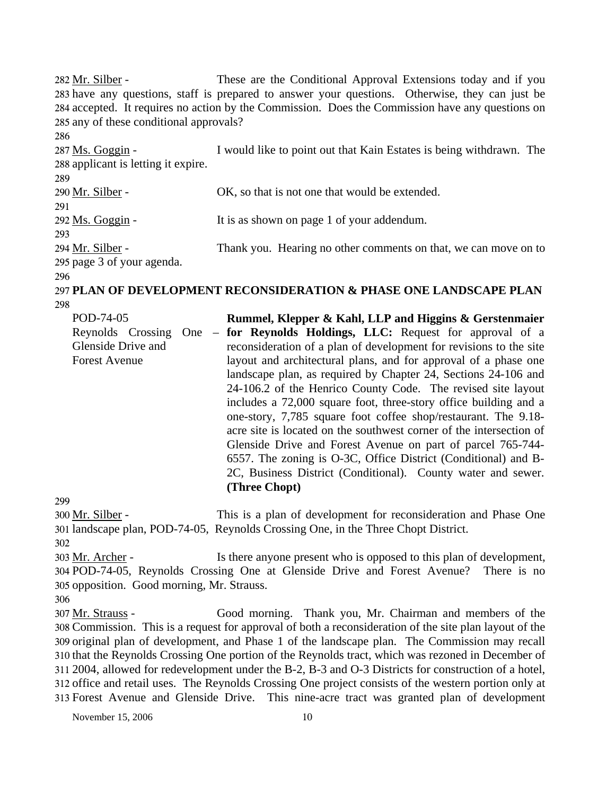These are the Conditional Approval Extensions today and if you 283 have any questions, staff is prepared to answer your questions. Otherwise, they can just be 284 accepted. It requires no action by the Commission. Does the Commission have any questions on 285 any of these conditional approvals? 282 Mr. Silber -286 I would like to point out that Kain Estates is being withdrawn. The 288 applicant is letting it expire. 287 Ms. Goggin -289 290 Mr. Silber - OK, so that is not one that would be extended. 291 292 Ms. Goggin - It is as shown on page 1 of your addendum. 293 Thank you. Hearing no other comments on that, we can move on to 295 page 3 of your agenda. 294 Mr. Silber -296 297 **PLAN OF DEVELOPMENT RECONSIDERATION & PHASE ONE LANDSCAPE PLAN** 

298

POD-74-05 Reynolds Crossing One – Glenside Drive and Forest Avenue **Rummel, Klepper & Kahl, LLP and Higgins & Gerstenmaier for Reynolds Holdings, LLC:** Request for approval of a reconsideration of a plan of development for revisions to the site layout and architectural plans, and for approval of a phase one landscape plan, as required by Chapter 24, Sections 24-106 and 24-106.2 of the Henrico County Code. The revised site layout includes a 72,000 square foot, three-story office building and a one-story, 7,785 square foot coffee shop/restaurant. The 9.18 acre site is located on the southwest corner of the intersection of Glenside Drive and Forest Avenue on part of parcel 765-744- 6557. The zoning is O-3C, Office District (Conditional) and B-2C, Business District (Conditional). County water and sewer. **(Three Chopt)** 

299

This is a plan of development for reconsideration and Phase One 301 landscape plan, POD-74-05, Reynolds Crossing One, in the Three Chopt District. 300 Mr. Silber -

302 Is there anyone present who is opposed to this plan of development, POD-74-05, Reynolds Crossing One at Glenside Drive and Forest Avenue? There is no 304 305 opposition. Good morning, Mr. Strauss. 303 Mr. Archer -

Good morning. Thank you, Mr. Chairman and members of the Commission. This is a request for approval of both a reconsideration of the site plan layout of the 308 309 original plan of development, and Phase 1 of the landscape plan. The Commission may recall 310 that the Reynolds Crossing One portion of the Reynolds tract, which was rezoned in December of 2004, allowed for redevelopment under the B-2, B-3 and O-3 Districts for construction of a hotel, 311 312 office and retail uses. The Reynolds Crossing One project consists of the western portion only at Forest Avenue and Glenside Drive. This nine-acre tract was granted plan of development 313 307 Mr. Strauss -

<sup>306</sup>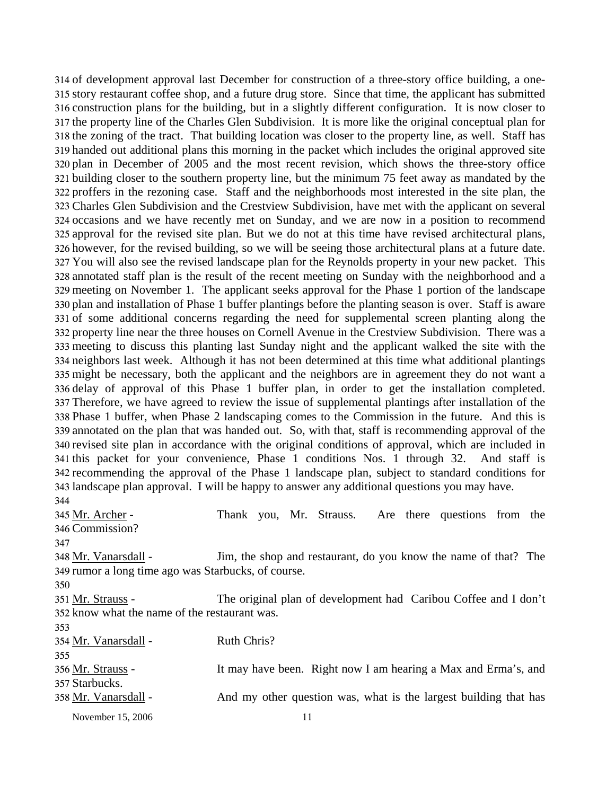314 of development approval last December for construction of a three-story office building, a onestory restaurant coffee shop, and a future drug store. Since that time, the applicant has submitted 315 316 construction plans for the building, but in a slightly different configuration. It is now closer to 317 the property line of the Charles Glen Subdivision. It is more like the original conceptual plan for 318 the zoning of the tract. That building location was closer to the property line, as well. Staff has 319 handed out additional plans this morning in the packet which includes the original approved site 320 plan in December of 2005 and the most recent revision, which shows the three-story office 321 building closer to the southern property line, but the minimum 75 feet away as mandated by the 322 proffers in the rezoning case. Staff and the neighborhoods most interested in the site plan, the Charles Glen Subdivision and the Crestview Subdivision, have met with the applicant on several 323 324 occasions and we have recently met on Sunday, and we are now in a position to recommend 325 approval for the revised site plan. But we do not at this time have revised architectural plans, 326 however, for the revised building, so we will be seeing those architectural plans at a future date. 327 You will also see the revised landscape plan for the Reynolds property in your new packet. This 328 annotated staff plan is the result of the recent meeting on Sunday with the neighborhood and a 329 meeting on November 1. The applicant seeks approval for the Phase 1 portion of the landscape 330 plan and installation of Phase 1 buffer plantings before the planting season is over. Staff is aware 331 of some additional concerns regarding the need for supplemental screen planting along the 332 property line near the three houses on Cornell Avenue in the Crestview Subdivision. There was a meeting to discuss this planting last Sunday night and the applicant walked the site with the 333 334 neighbors last week. Although it has not been determined at this time what additional plantings 335 might be necessary, both the applicant and the neighbors are in agreement they do not want a 336 delay of approval of this Phase 1 buffer plan, in order to get the installation completed. Therefore, we have agreed to review the issue of supplemental plantings after installation of the 337 338 Phase 1 buffer, when Phase 2 landscaping comes to the Commission in the future. And this is 339 annotated on the plan that was handed out. So, with that, staff is recommending approval of the 340 revised site plan in accordance with the original conditions of approval, which are included in 341 this packet for your convenience, Phase 1 conditions Nos. 1 through 32. And staff is 342 recommending the approval of the Phase 1 landscape plan, subject to standard conditions for 343 landscape plan approval. I will be happy to answer any additional questions you may have. 344

November 15, 2006 11 Thank you, Mr. Strauss. Are there questions from the Commission? 346 345 Mr. Archer -347 Jim, the shop and restaurant, do you know the name of that? The 349 rumor a long time ago was Starbucks, of course. 348 Mr. Vanarsdall -350 The original plan of development had Caribou Coffee and I don't 352 know what the name of the restaurant was. 351 Mr. Strauss -353 354 Mr. Vanarsdall - Ruth Chris? 355 It may have been. Right now I am hearing a Max and Erma's, and 357 Starbucks. 356 Mr. Strauss -358 Mr. Vanarsdall - And my other question was, what is the largest building that has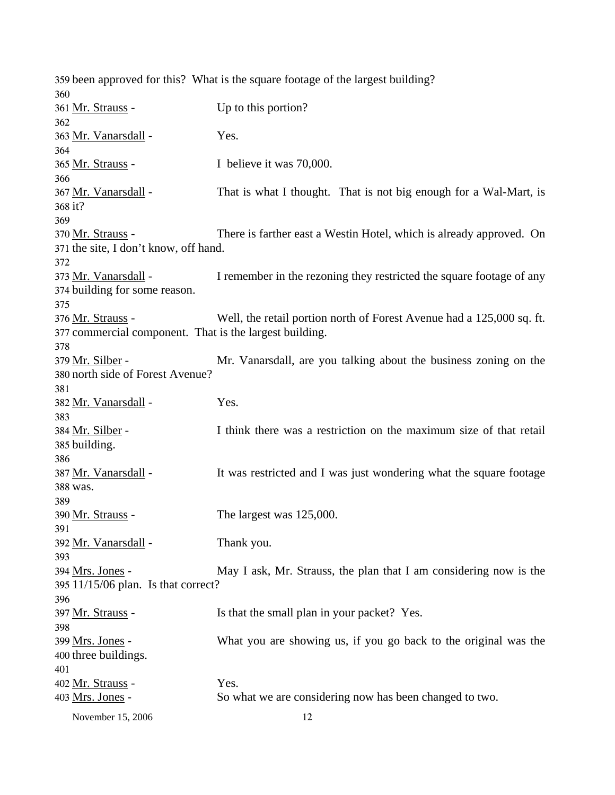359 been approved for this? What is the square footage of the largest building? 360 361 Mr. Strauss - Up to this portion? 362 363 Mr. Vanarsdall - Yes. 364 365 Mr. Strauss - I believe it was 70,000. 366 That is what I thought. That is not big enough for a Wal-Mart, is 368 it? 367 Mr. Vanarsdall -369 There is farther east a Westin Hotel, which is already approved. On 371 the site, I don't know, off hand. 370 Mr. Strauss -372 I remember in the rezoning they restricted the square footage of any 374 building for some reason. 373 Mr. Vanarsdall -375 Well, the retail portion north of Forest Avenue had a 125,000 sq. ft. 377 commercial component. That is the largest building. 376 Mr. Strauss -378 Mr. Vanarsdall, are you talking about the business zoning on the 380 north side of Forest Avenue? 379 Mr. Silber -381 382 Mr. Vanarsdall - Yes. 383 I think there was a restriction on the maximum size of that retail 385 building. 384 Mr. Silber -386 It was restricted and I was just wondering what the square footage 388 was. 387 Mr. Vanarsdall -389  $390 \text{ Mr. Strauss}$  - The largest was  $125,000$ . 391 392 Mr. Vanarsdall - Thank you. 393 May I ask, Mr. Strauss, the plan that I am considering now is the 11/15/06 plan. Is that correct? 395 394 Mrs. Jones -396 397 Mr. Strauss - Is that the small plan in your packet? Yes. 398 What you are showing us, if you go back to the original was the 400 three buildings. 399 Mrs. Jones -401 402 Mr. Strauss - Yes. 403 Mrs. Jones - So what we are considering now has been changed to two.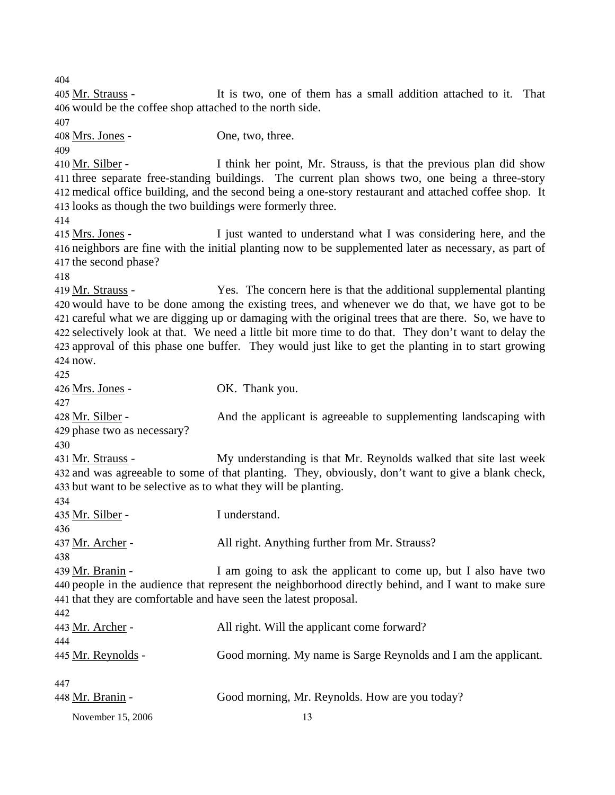404 It is two, one of them has a small addition attached to it. That 406 would be the coffee shop attached to the north side. 405 Mr. Strauss -407 408 Mrs. Jones - One, two, three. 409 I think her point, Mr. Strauss, is that the previous plan did show 411 three separate free-standing buildings. The current plan shows two, one being a three-story 412 medical office building, and the second being a one-story restaurant and attached coffee shop. It 413 looks as though the two buildings were formerly three. 410 Mr. Silber -414 I just wanted to understand what I was considering here, and the 416 neighbors are fine with the initial planting now to be supplemented later as necessary, as part of 417 the second phase? 415 Mrs. Jones -418 Yes. The concern here is that the additional supplemental planting 420 would have to be done among the existing trees, and whenever we do that, we have got to be 421 careful what we are digging up or damaging with the original trees that are there. So, we have to 422 selectively look at that. We need a little bit more time to do that. They don't want to delay the 423 approval of this phase one buffer. They would just like to get the planting in to start growing 424 now. 419 Mr. Strauss -425 426 Mrs. Jones - OK. Thank you. 427 And the applicant is agreeable to supplementing landscaping with 429 phase two as necessary? 428 Mr. Silber -430 My understanding is that Mr. Reynolds walked that site last week and was agreeable to some of that planting. They, obviously, don't want to give a blank check, 432 433 but want to be selective as to what they will be planting. 431 Mr. Strauss -434 435 Mr. Silber - I understand. 436 437 Mr. Archer - **All right. Anything further from Mr. Strauss**? 438 I am going to ask the applicant to come up, but I also have two 440 people in the audience that represent the neighborhood directly behind, and I want to make sure 441 that they are comfortable and have seen the latest proposal. 439 Mr. Branin -442 443 Mr. Archer - All right. Will the applicant come forward? 444 445 Mr. Reynolds - Good morning. My name is Sarge Reynolds and I am the applicant. 447

November 15, 2006 13 448 Mr. Branin - Good morning, Mr. Reynolds. How are you today?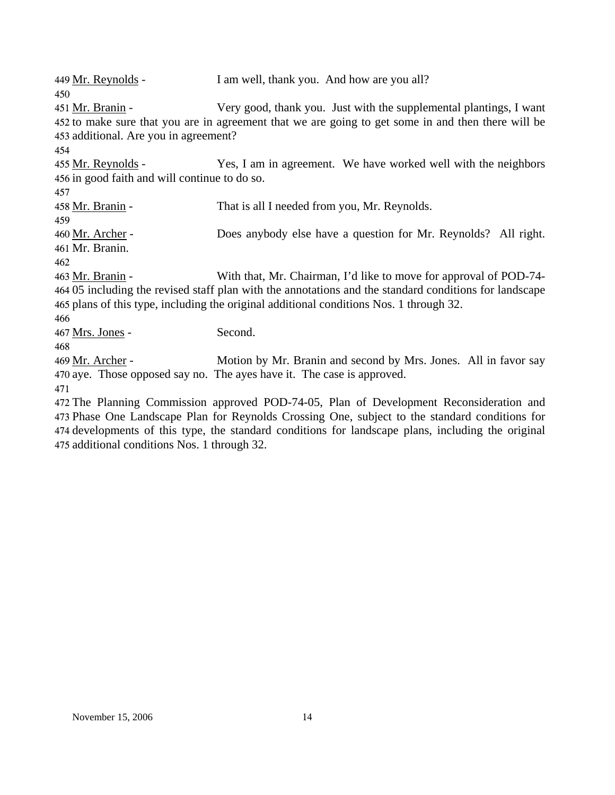| 449 <u>Mr. Reynolds</u> -                     | I am well, thank you. And how are you all?                                                             |
|-----------------------------------------------|--------------------------------------------------------------------------------------------------------|
| 450                                           |                                                                                                        |
| 451 <u>Mr. Branin</u> -                       | Very good, thank you. Just with the supplemental plantings, I want                                     |
|                                               | 452 to make sure that you are in agreement that we are going to get some in and then there will be     |
| 453 additional. Are you in agreement?         |                                                                                                        |
| 454                                           |                                                                                                        |
| 455 Mr. Reynolds -                            | Yes, I am in agreement. We have worked well with the neighbors                                         |
| 456 in good faith and will continue to do so. |                                                                                                        |
| 457                                           |                                                                                                        |
| 458 <u>Mr. Branin</u> -                       | That is all I needed from you, Mr. Reynolds.                                                           |
| 459                                           |                                                                                                        |
| 460 <u>Mr. Archer</u> -                       | Does anybody else have a question for Mr. Reynolds? All right.                                         |
| 461 Mr. Branin.                               |                                                                                                        |
| 462                                           |                                                                                                        |
| 463 Mr. Branin -                              | With that, Mr. Chairman, I'd like to move for approval of POD-74-                                      |
|                                               | 464 05 including the revised staff plan with the annotations and the standard conditions for landscape |
|                                               | 465 plans of this type, including the original additional conditions Nos. 1 through 32.                |
| 466                                           |                                                                                                        |
| 467 <u>Mrs. Jones</u> -                       | Second.                                                                                                |
| 468                                           |                                                                                                        |
| 469 <u>Mr. Archer</u> -                       | Motion by Mr. Branin and second by Mrs. Jones. All in favor say                                        |
|                                               | 470 aye. Those opposed say no. The ayes have it. The case is approved.                                 |
| 471                                           |                                                                                                        |

 The Planning Commission approved POD-74-05, Plan of Development Reconsideration and Phase One Landscape Plan for Reynolds Crossing One, subject to the standard conditions for developments of this type, the standard conditions for landscape plans, including the original additional conditions Nos. 1 through 32.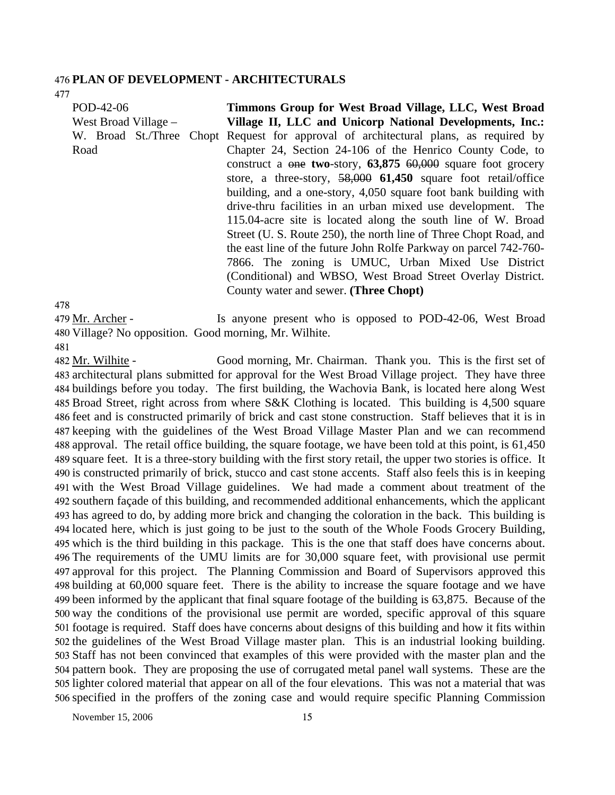#### 476 **PLAN OF DEVELOPMENT - ARCHITECTURALS**

477

POD-42-06 West Broad Village – W. Broad St./Three Chopt Request for approval of architectural plans, as required by Road **Timmons Group for West Broad Village, LLC, West Broad Village II, LLC and Unicorp National Developments, Inc.:**  Chapter 24, Section 24-106 of the Henrico County Code, to construct a one **two**-story, **63,875** 60,000 square foot grocery store, a three-story, 58,000 **61,450** square foot retail/office building, and a one-story, 4,050 square foot bank building with drive-thru facilities in an urban mixed use development. The 115.04-acre site is located along the south line of W. Broad Street (U. S. Route 250), the north line of Three Chopt Road, and the east line of the future John Rolfe Parkway on parcel 742-760- 7866. The zoning is UMUC, Urban Mixed Use District (Conditional) and WBSO, West Broad Street Overlay District. County water and sewer. **(Three Chopt)** 

478

Is anyone present who is opposed to POD-42-06, West Broad 480 Village? No opposition. Good morning, Mr. Wilhite. 479 Mr. Archer -

481

Good morning, Mr. Chairman. Thank you. This is the first set of 483 architectural plans submitted for approval for the West Broad Village project. They have three 484 buildings before you today. The first building, the Wachovia Bank, is located here along West 485 Broad Street, right across from where S&K Clothing is located. This building is 4,500 square 486 feet and is constructed primarily of brick and cast stone construction. Staff believes that it is in 487 keeping with the guidelines of the West Broad Village Master Plan and we can recommend 488 approval. The retail office building, the square footage, we have been told at this point, is 61,450 489 square feet. It is a three-story building with the first story retail, the upper two stories is office. It 490 is constructed primarily of brick, stucco and cast stone accents. Staff also feels this is in keeping 491 with the West Broad Village guidelines. We had made a comment about treatment of the 492 southern façade of this building, and recommended additional enhancements, which the applicant 493 has agreed to do, by adding more brick and changing the coloration in the back. This building is 494 located here, which is just going to be just to the south of the Whole Foods Grocery Building, 495 which is the third building in this package. This is the one that staff does have concerns about. The requirements of the UMU limits are for 30,000 square feet, with provisional use permit 496 approval for this project. The Planning Commission and Board of Supervisors approved this 497 498 building at 60,000 square feet. There is the ability to increase the square footage and we have 499 been informed by the applicant that final square footage of the building is 63,875. Because of the 500 way the conditions of the provisional use permit are worded, specific approval of this square 501 footage is required. Staff does have concerns about designs of this building and how it fits within 502 the guidelines of the West Broad Village master plan. This is an industrial looking building. Staff has not been convinced that examples of this were provided with the master plan and the 503 504 pattern book. They are proposing the use of corrugated metal panel wall systems. These are the 505 lighter colored material that appear on all of the four elevations. This was not a material that was 506 specified in the proffers of the zoning case and would require specific Planning Commission 482 Mr. Wilhite -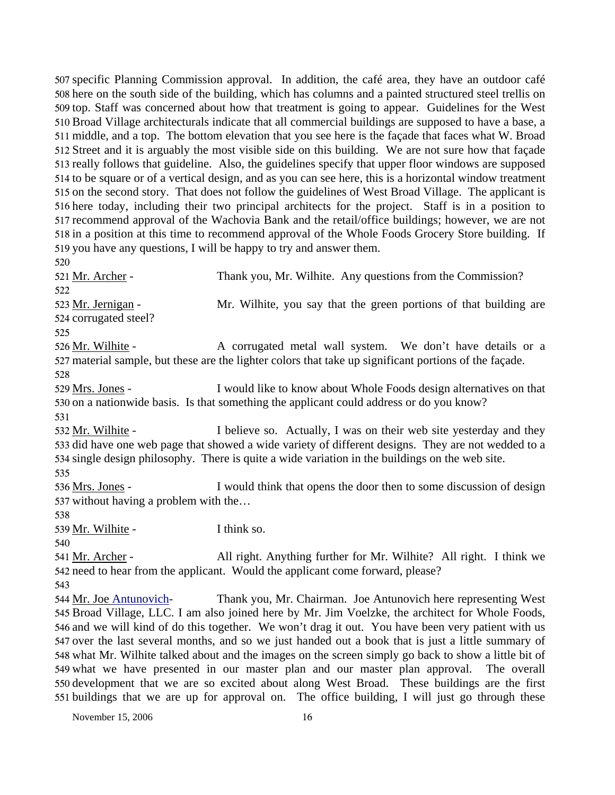507 specific Planning Commission approval. In addition, the café area, they have an outdoor café 508 here on the south side of the building, which has columns and a painted structured steel trellis on 509 top. Staff was concerned about how that treatment is going to appear. Guidelines for the West 510 Broad Village architecturals indicate that all commercial buildings are supposed to have a base, a 511 middle, and a top. The bottom elevation that you see here is the façade that faces what W. Broad 512 Street and it is arguably the most visible side on this building. We are not sure how that façade 513 really follows that guideline. Also, the guidelines specify that upper floor windows are supposed 514 to be square or of a vertical design, and as you can see here, this is a horizontal window treatment 515 on the second story. That does not follow the guidelines of West Broad Village. The applicant is 516 here today, including their two principal architects for the project. Staff is in a position to 517 recommend approval of the Wachovia Bank and the retail/office buildings; however, we are not 518 in a position at this time to recommend approval of the Whole Foods Grocery Store building. If 519 you have any questions, I will be happy to try and answer them.

521 Mr. Archer - Thank you, Mr. Wilhite. Any questions from the Commission? 522 Mr. Wilhite, you say that the green portions of that building are 524 corrugated steel? 523 Mr. Jernigan -

525

520

A corrugated metal wall system. We don't have details or a 527 material sample, but these are the lighter colors that take up significant portions of the façade. 526 Mr. Wilhite -528

I would like to know about Whole Foods design alternatives on that 530 on a nationwide basis. Is that something the applicant could address or do you know? 529 Mrs. Jones -

531

I believe so. Actually, I was on their web site yesterday and they 533 did have one web page that showed a wide variety of different designs. They are not wedded to a 534 single design philosophy. There is quite a wide variation in the buildings on the web site. 532 Mr. Wilhite -

535

I would think that opens the door then to some discussion of design 537 without having a problem with the... 536 Mrs. Jones -

538

539 Mr. Wilhite - I think so.

540

All right. Anything further for Mr. Wilhite? All right. I think we 542 need to hear from the applicant. Would the applicant come forward, please? 541 Mr. Archer -

543

Thank you, Mr. Chairman. Joe Antunovich here representing West 545 Broad Village, LLC. I am also joined here by Mr. Jim Voelzke, the architect for Whole Foods, 546 and we will kind of do this together. We won't drag it out. You have been very patient with us 547 over the last several months, and so we just handed out a book that is just a little summary of 548 what Mr. Wilhite talked about and the images on the screen simply go back to show a little bit of 549 what we have presented in our master plan and our master plan approval. The overall 550 development that we are so excited about along West Broad. These buildings are the first 551 buildings that we are up for approval on. The office building, I will just go through these 544 Mr. Joe Antunovich-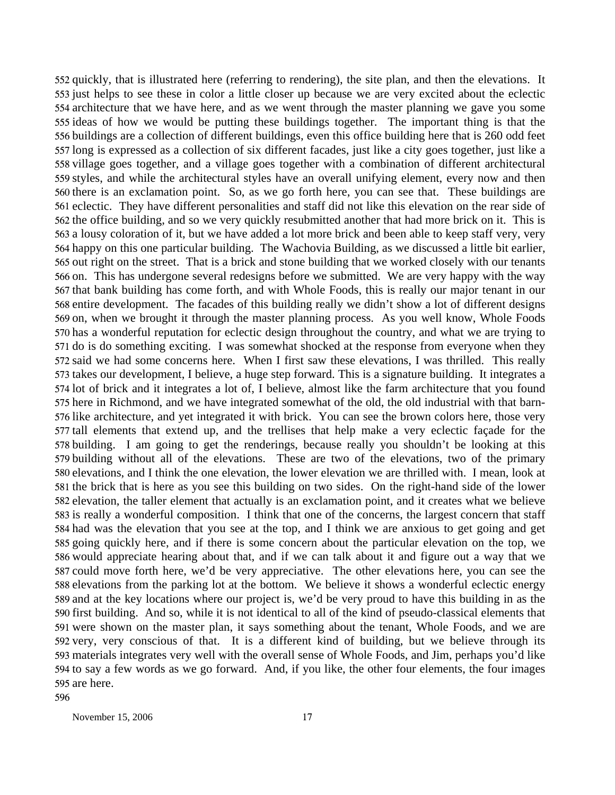552 quickly, that is illustrated here (referring to rendering), the site plan, and then the elevations. It 553 just helps to see these in color a little closer up because we are very excited about the eclectic 554 architecture that we have here, and as we went through the master planning we gave you some 555 ideas of how we would be putting these buildings together. The important thing is that the 556 buildings are a collection of different buildings, even this office building here that is 260 odd feet 557 long is expressed as a collection of six different facades, just like a city goes together, just like a 558 village goes together, and a village goes together with a combination of different architectural 559 styles, and while the architectural styles have an overall unifying element, every now and then 560 there is an exclamation point. So, as we go forth here, you can see that. These buildings are 561 eclectic. They have different personalities and staff did not like this elevation on the rear side of 562 the office building, and so we very quickly resubmitted another that had more brick on it. This is 563 a lousy coloration of it, but we have added a lot more brick and been able to keep staff very, very 564 happy on this one particular building. The Wachovia Building, as we discussed a little bit earlier, 565 out right on the street. That is a brick and stone building that we worked closely with our tenants 566 on. This has undergone several redesigns before we submitted. We are very happy with the way 567 that bank building has come forth, and with Whole Foods, this is really our major tenant in our 568 entire development. The facades of this building really we didn't show a lot of different designs 569 on, when we brought it through the master planning process. As you well know, Whole Foods 570 has a wonderful reputation for eclectic design throughout the country, and what we are trying to 571 do is do something exciting. I was somewhat shocked at the response from everyone when they 572 said we had some concerns here. When I first saw these elevations, I was thrilled. This really 573 takes our development, I believe, a huge step forward. This is a signature building. It integrates a 574 lot of brick and it integrates a lot of, I believe, almost like the farm architecture that you found 575 here in Richmond, and we have integrated somewhat of the old, the old industrial with that barn-576 like architecture, and yet integrated it with brick. You can see the brown colors here, those very 577 tall elements that extend up, and the trellises that help make a very eclectic façade for the 578 building. I am going to get the renderings, because really you shouldn't be looking at this 579 building without all of the elevations. These are two of the elevations, two of the primary 580 elevations, and I think the one elevation, the lower elevation we are thrilled with. I mean, look at 581 the brick that is here as you see this building on two sides. On the right-hand side of the lower 582 elevation, the taller element that actually is an exclamation point, and it creates what we believe 583 is really a wonderful composition. I think that one of the concerns, the largest concern that staff 584 had was the elevation that you see at the top, and I think we are anxious to get going and get 585 going quickly here, and if there is some concern about the particular elevation on the top, we 586 would appreciate hearing about that, and if we can talk about it and figure out a way that we 587 could move forth here, we'd be very appreciative. The other elevations here, you can see the 588 elevations from the parking lot at the bottom. We believe it shows a wonderful eclectic energy 589 and at the key locations where our project is, we'd be very proud to have this building in as the 590 first building. And so, while it is not identical to all of the kind of pseudo-classical elements that 591 were shown on the master plan, it says something about the tenant, Whole Foods, and we are 592 very, very conscious of that. It is a different kind of building, but we believe through its materials integrates very well with the overall sense of Whole Foods, and Jim, perhaps you'd like 593 594 to say a few words as we go forward. And, if you like, the other four elements, the four images 595 are here. 596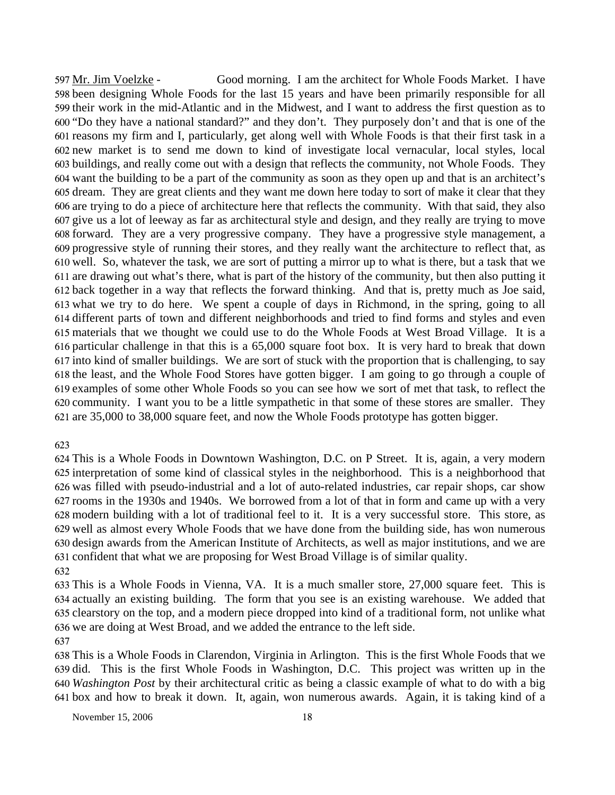Good morning. I am the architect for Whole Foods Market. I have 598 been designing Whole Foods for the last 15 years and have been primarily responsible for all 599 their work in the mid-Atlantic and in the Midwest, and I want to address the first question as to 600 "Do they have a national standard?" and they don't. They purposely don't and that is one of the 601 reasons my firm and I, particularly, get along well with Whole Foods is that their first task in a 602 new market is to send me down to kind of investigate local vernacular, local styles, local buildings, and really come out with a design that reflects the community, not Whole Foods. They 603 want the building to be a part of the community as soon as they open up and that is an architect's 604 605 dream. They are great clients and they want me down here today to sort of make it clear that they 606 are trying to do a piece of architecture here that reflects the community. With that said, they also 607 give us a lot of leeway as far as architectural style and design, and they really are trying to move forward. They are a very progressive company. They have a progressive style management, a 608 609 progressive style of running their stores, and they really want the architecture to reflect that, as 610 well. So, whatever the task, we are sort of putting a mirror up to what is there, but a task that we 611 are drawing out what's there, what is part of the history of the community, but then also putting it back together in a way that reflects the forward thinking. And that is, pretty much as Joe said, 612 what we try to do here. We spent a couple of days in Richmond, in the spring, going to all 613 614 different parts of town and different neighborhoods and tried to find forms and styles and even materials that we thought we could use to do the Whole Foods at West Broad Village. It is a 615 616 particular challenge in that this is a 65,000 square foot box. It is very hard to break that down 617 into kind of smaller buildings. We are sort of stuck with the proportion that is challenging, to say 618 the least, and the Whole Food Stores have gotten bigger. I am going to go through a couple of 619 examples of some other Whole Foods so you can see how we sort of met that task, to reflect the 620 community. I want you to be a little sympathetic in that some of these stores are smaller. They are 35,000 to 38,000 square feet, and now the Whole Foods prototype has gotten bigger. 621 597 Mr. Jim Voelzke -

623

 This is a Whole Foods in Downtown Washington, D.C. on P Street. It is, again, a very modern interpretation of some kind of classical styles in the neighborhood. This is a neighborhood that was filled with pseudo-industrial and a lot of auto-related industries, car repair shops, car show rooms in the 1930s and 1940s. We borrowed from a lot of that in form and came up with a very modern building with a lot of traditional feel to it. It is a very successful store. This store, as well as almost every Whole Foods that we have done from the building side, has won numerous design awards from the American Institute of Architects, as well as major institutions, and we are confident that what we are proposing for West Broad Village is of similar quality. 632

 This is a Whole Foods in Vienna, VA. It is a much smaller store, 27,000 square feet. This is actually an existing building. The form that you see is an existing warehouse. We added that clearstory on the top, and a modern piece dropped into kind of a traditional form, not unlike what we are doing at West Broad, and we added the entrance to the left side.

637

 This is a Whole Foods in Clarendon, Virginia in Arlington. This is the first Whole Foods that we did. This is the first Whole Foods in Washington, D.C. This project was written up in the *Washington Post* by their architectural critic as being a classic example of what to do with a big box and how to break it down. It, again, won numerous awards. Again, it is taking kind of a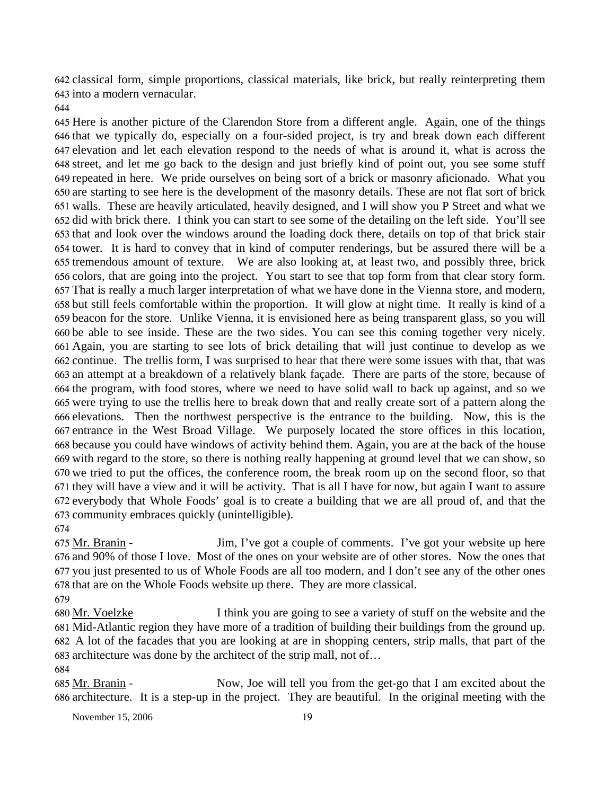642 classical form, simple proportions, classical materials, like brick, but really reinterpreting them 643 into a modern vernacular.

 Here is another picture of the Clarendon Store from a different angle. Again, one of the things that we typically do, especially on a four-sided project, is try and break down each different elevation and let each elevation respond to the needs of what is around it, what is across the street, and let me go back to the design and just briefly kind of point out, you see some stuff repeated in here. We pride ourselves on being sort of a brick or masonry aficionado. What you are starting to see here is the development of the masonry details. These are not flat sort of brick walls. These are heavily articulated, heavily designed, and I will show you P Street and what we did with brick there. I think you can start to see some of the detailing on the left side. You'll see that and look over the windows around the loading dock there, details on top of that brick stair tower. It is hard to convey that in kind of computer renderings, but be assured there will be a tremendous amount of texture. We are also looking at, at least two, and possibly three, brick colors, that are going into the project. You start to see that top form from that clear story form. That is really a much larger interpretation of what we have done in the Vienna store, and modern, but still feels comfortable within the proportion. It will glow at night time. It really is kind of a beacon for the store. Unlike Vienna, it is envisioned here as being transparent glass, so you will be able to see inside. These are the two sides. You can see this coming together very nicely. Again, you are starting to see lots of brick detailing that will just continue to develop as we continue. The trellis form, I was surprised to hear that there were some issues with that, that was an attempt at a breakdown of a relatively blank façade. There are parts of the store, because of the program, with food stores, where we need to have solid wall to back up against, and so we were trying to use the trellis here to break down that and really create sort of a pattern along the elevations. Then the northwest perspective is the entrance to the building. Now, this is the entrance in the West Broad Village. We purposely located the store offices in this location, because you could have windows of activity behind them. Again, you are at the back of the house with regard to the store, so there is nothing really happening at ground level that we can show, so we tried to put the offices, the conference room, the break room up on the second floor, so that they will have a view and it will be activity. That is all I have for now, but again I want to assure everybody that Whole Foods' goal is to create a building that we are all proud of, and that the community embraces quickly (unintelligible).

Jim, I've got a couple of comments. I've got your website up here 676 and 90% of those I love. Most of the ones on your website are of other stores. Now the ones that 677 you just presented to us of Whole Foods are all too modern, and I don't see any of the other ones 678 that are on the Whole Foods website up there. They are more classical. 675 Mr. Branin -

I think you are going to see a variety of stuff on the website and the Mid-Atlantic region they have more of a tradition of building their buildings from the ground up. A lot of the facades that you are looking at are in shopping centers, strip malls, that part of the 683 architecture was done by the architect of the strip mall, not of... 680 Mr. Voelzke

Now, Joe will tell you from the get-go that I am excited about the 686 architecture. It is a step-up in the project. They are beautiful. In the original meeting with the 685 Mr. Branin -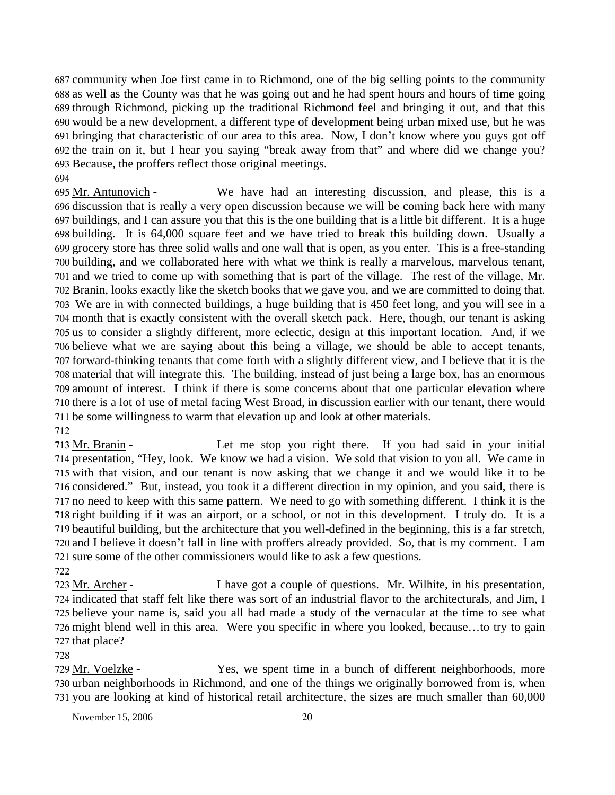community when Joe first came in to Richmond, one of the big selling points to the community 687 688 as well as the County was that he was going out and he had spent hours and hours of time going 689 through Richmond, picking up the traditional Richmond feel and bringing it out, and that this 690 would be a new development, a different type of development being urban mixed use, but he was 691 bringing that characteristic of our area to this area. Now, I don't know where you guys got off 692 the train on it, but I hear you saying "break away from that" and where did we change you? 693 Because, the proffers reflect those original meetings.

694

We have had an interesting discussion, and please, this is a 696 discussion that is really a very open discussion because we will be coming back here with many 697 buildings, and I can assure you that this is the one building that is a little bit different. It is a huge 698 building. It is 64,000 square feet and we have tried to break this building down. Usually a 699 grocery store has three solid walls and one wall that is open, as you enter. This is a free-standing 700 building, and we collaborated here with what we think is really a marvelous, marvelous tenant, 701 and we tried to come up with something that is part of the village. The rest of the village, Mr. 702 Branin, looks exactly like the sketch books that we gave you, and we are committed to doing that. We are in with connected buildings, a huge building that is 450 feet long, and you will see in a 703 704 month that is exactly consistent with the overall sketch pack. Here, though, our tenant is asking 705 us to consider a slightly different, more eclectic, design at this important location. And, if we 706 believe what we are saying about this being a village, we should be able to accept tenants, 707 forward-thinking tenants that come forth with a slightly different view, and I believe that it is the 708 material that will integrate this. The building, instead of just being a large box, has an enormous 709 amount of interest. I think if there is some concerns about that one particular elevation where 710 there is a lot of use of metal facing West Broad, in discussion earlier with our tenant, there would 711 be some willingness to warm that elevation up and look at other materials. 695 Mr. Antunovich -712

Let me stop you right there. If you had said in your initial 714 presentation, "Hey, look. We know we had a vision. We sold that vision to you all. We came in 715 with that vision, and our tenant is now asking that we change it and we would like it to be 716 considered." But, instead, you took it a different direction in my opinion, and you said, there is 717 no need to keep with this same pattern. We need to go with something different. I think it is the 718 right building if it was an airport, or a school, or not in this development. I truly do. It is a 719 beautiful building, but the architecture that you well-defined in the beginning, this is a far stretch, 720 and I believe it doesn't fall in line with proffers already provided. So, that is my comment. I am 721 sure some of the other commissioners would like to ask a few questions. 713 Mr. Branin -722

I have got a couple of questions. Mr. Wilhite, in his presentation, 724 indicated that staff felt like there was sort of an industrial flavor to the architecturals, and Jim, I 725 believe your name is, said you all had made a study of the vernacular at the time to see what 726 might blend well in this area. Were you specific in where you looked, because...to try to gain 727 that place? 723 Mr. Archer -

#### 728

Yes, we spent time in a bunch of different neighborhoods, more 730 urban neighborhoods in Richmond, and one of the things we originally borrowed from is, when 731 you are looking at kind of historical retail architecture, the sizes are much smaller than 60,000 729 Mr. Voelzke -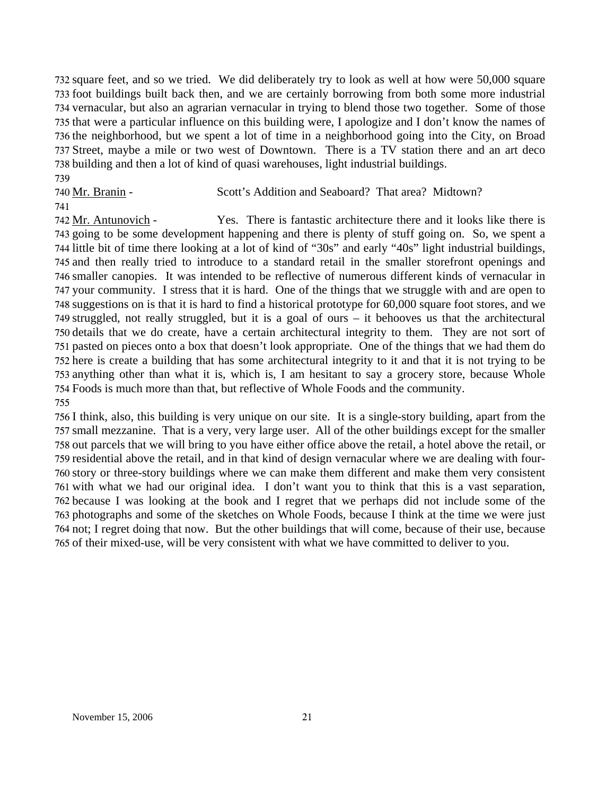732 square feet, and so we tried. We did deliberately try to look as well at how were 50,000 square 733 foot buildings built back then, and we are certainly borrowing from both some more industrial 734 vernacular, but also an agrarian vernacular in trying to blend those two together. Some of those 735 that were a particular influence on this building were, I apologize and I don't know the names of 736 the neighborhood, but we spent a lot of time in a neighborhood going into the City, on Broad 737 Street, maybe a mile or two west of Downtown. There is a TV station there and an art deco 738 building and then a lot of kind of quasi warehouses, light industrial buildings. 739

740 Mr. Branin - Scott's Addition and Seaboard? That area? Midtown?

741

Yes. There is fantastic architecture there and it looks like there is 743 going to be some development happening and there is plenty of stuff going on. So, we spent a 744 little bit of time there looking at a lot of kind of "30s" and early "40s" light industrial buildings, 745 and then really tried to introduce to a standard retail in the smaller storefront openings and 746 smaller canopies. It was intended to be reflective of numerous different kinds of vernacular in 747 your community. I stress that it is hard. One of the things that we struggle with and are open to 748 suggestions on is that it is hard to find a historical prototype for 60,000 square foot stores, and we 749 struggled, not really struggled, but it is a goal of ours – it behooves us that the architectural 750 details that we do create, have a certain architectural integrity to them. They are not sort of 751 pasted on pieces onto a box that doesn't look appropriate. One of the things that we had them do 752 here is create a building that has some architectural integrity to it and that it is not trying to be 753 anything other than what it is, which is, I am hesitant to say a grocery store, because Whole Foods is much more than that, but reflective of Whole Foods and the community. 754 742 Mr. Antunovich -755

 I think, also, this building is very unique on our site. It is a single-story building, apart from the small mezzanine. That is a very, very large user. All of the other buildings except for the smaller out parcels that we will bring to you have either office above the retail, a hotel above the retail, or residential above the retail, and in that kind of design vernacular where we are dealing with four- story or three-story buildings where we can make them different and make them very consistent with what we had our original idea. I don't want you to think that this is a vast separation, because I was looking at the book and I regret that we perhaps did not include some of the photographs and some of the sketches on Whole Foods, because I think at the time we were just not; I regret doing that now. But the other buildings that will come, because of their use, because of their mixed-use, will be very consistent with what we have committed to deliver to you.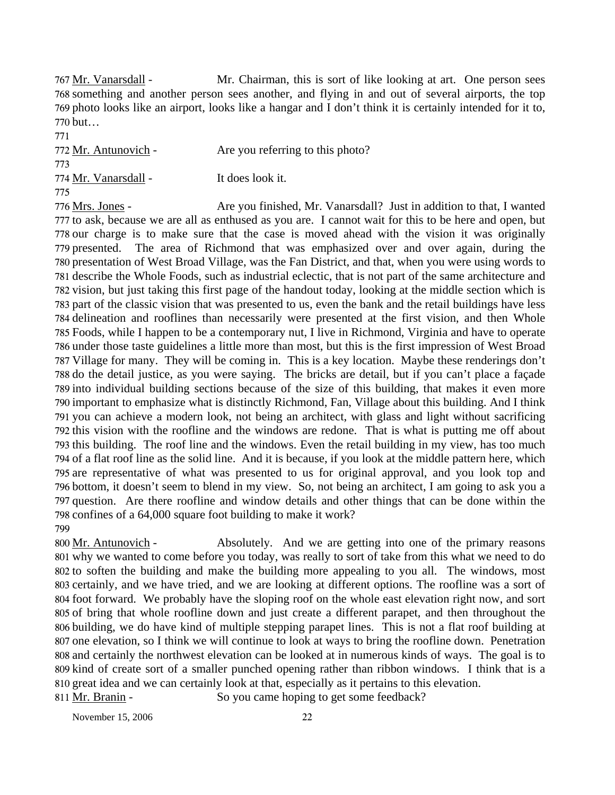Mr. Chairman, this is sort of like looking at art. One person sees 768 something and another person sees another, and flying in and out of several airports, the top 769 photo looks like an airport, looks like a hangar and I don't think it is certainly intended for it to, 770 but... 767 Mr. Vanarsdall -

771 772 Mr. Antunovich - Are you referring to this photo? 773 774 Mr. Vanarsdall - It does look it. 775 Are you finished, Mr. Vanarsdall? Just in addition to that, I wanted 776 Mrs. Jones -

777 to ask, because we are all as enthused as you are. I cannot wait for this to be here and open, but 778 our charge is to make sure that the case is moved ahead with the vision it was originally 779 presented. The area of Richmond that was emphasized over and over again, during the 780 presentation of West Broad Village, was the Fan District, and that, when you were using words to 781 describe the Whole Foods, such as industrial eclectic, that is not part of the same architecture and 782 vision, but just taking this first page of the handout today, looking at the middle section which is 783 part of the classic vision that was presented to us, even the bank and the retail buildings have less 784 delineation and rooflines than necessarily were presented at the first vision, and then Whole Foods, while I happen to be a contemporary nut, I live in Richmond, Virginia and have to operate 785 786 under those taste guidelines a little more than most, but this is the first impression of West Broad 787 Village for many. They will be coming in. This is a key location. Maybe these renderings don't 788 do the detail justice, as you were saying. The bricks are detail, but if you can't place a façade 789 into individual building sections because of the size of this building, that makes it even more 790 important to emphasize what is distinctly Richmond, Fan, Village about this building. And I think 791 you can achieve a modern look, not being an architect, with glass and light without sacrificing 792 this vision with the roofline and the windows are redone. That is what is putting me off about 793 this building. The roof line and the windows. Even the retail building in my view, has too much 794 of a flat roof line as the solid line. And it is because, if you look at the middle pattern here, which 795 are representative of what was presented to us for original approval, and you look top and 796 bottom, it doesn't seem to blend in my view. So, not being an architect, I am going to ask you a 797 question. Are there roofline and window details and other things that can be done within the 798 confines of a 64,000 square foot building to make it work? 799

Absolutely. And we are getting into one of the primary reasons why we wanted to come before you today, was really to sort of take from this what we need to do 801 802 to soften the building and make the building more appealing to you all. The windows, most 803 certainly, and we have tried, and we are looking at different options. The roofline was a sort of 804 foot forward. We probably have the sloping roof on the whole east elevation right now, and sort 805 of bring that whole roofline down and just create a different parapet, and then throughout the 806 building, we do have kind of multiple stepping parapet lines. This is not a flat roof building at 807 one elevation, so I think we will continue to look at ways to bring the roofline down. Penetration 808 and certainly the northwest elevation can be looked at in numerous kinds of ways. The goal is to 809 kind of create sort of a smaller punched opening rather than ribbon windows. I think that is a 810 great idea and we can certainly look at that, especially as it pertains to this elevation. 800 Mr. Antunovich -811 Mr. Branin - So you came hoping to get some feedback?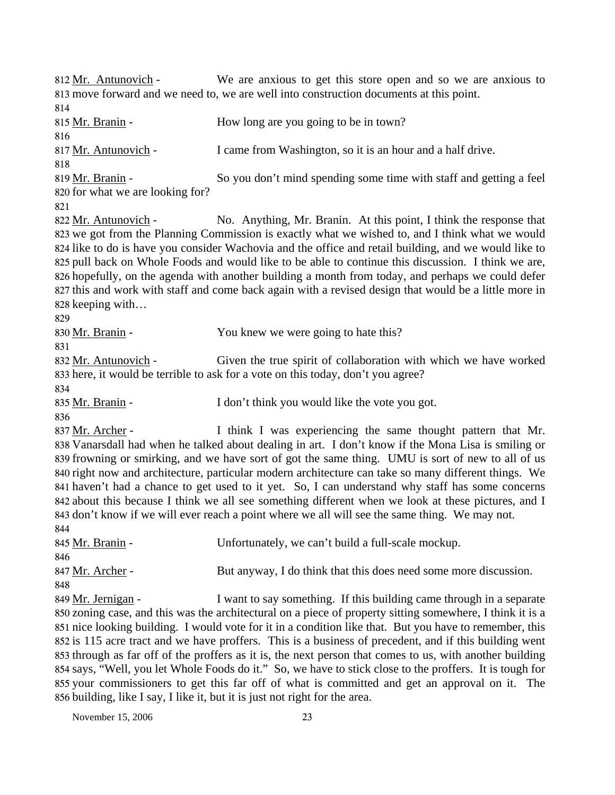We are anxious to get this store open and so we are anxious to 813 move forward and we need to, we are well into construction documents at this point. 812 Mr. Antunovich -814 815 Mr. Branin - How long are you going to be in town? 816 817 Mr. Antunovich - I came from Washington, so it is an hour and a half drive. 818 So you don't mind spending some time with staff and getting a feel 820 for what we are looking for? 819 Mr. Branin -821 No. Anything, Mr. Branin. At this point, I think the response that 823 we got from the Planning Commission is exactly what we wished to, and I think what we would 824 like to do is have you consider Wachovia and the office and retail building, and we would like to 825 pull back on Whole Foods and would like to be able to continue this discussion. I think we are, 826 hopefully, on the agenda with another building a month from today, and perhaps we could defer 827 this and work with staff and come back again with a revised design that would be a little more in 828 keeping with... 822 Mr. Antunovich -829 830 Mr. Branin - You knew we were going to hate this? 831 Given the true spirit of collaboration with which we have worked 833 here, it would be terrible to ask for a vote on this today, don't you agree? 832 Mr. Antunovich -834 835 Mr. Branin - I don't think you would like the vote you got. 836 I think I was experiencing the same thought pattern that Mr. Vanarsdall had when he talked about dealing in art. I don't know if the Mona Lisa is smiling or 838 839 frowning or smirking, and we have sort of got the same thing. UMU is sort of new to all of us 840 right now and architecture, particular modern architecture can take so many different things. We 841 haven't had a chance to get used to it yet. So, I can understand why staff has some concerns 842 about this because I think we all see something different when we look at these pictures, and I 843 don't know if we will ever reach a point where we all will see the same thing. We may not. 837 Mr. Archer -844 845 Mr. Branin - Unfortunately, we can't build a full-scale mockup. 846 847 Mr. Archer - But anyway, I do think that this does need some more discussion. 848 I want to say something. If this building came through in a separate 850 zoning case, and this was the architectural on a piece of property sitting somewhere, I think it is a 851 nice looking building. I would vote for it in a condition like that. But you have to remember, this 852 is 115 acre tract and we have proffers. This is a business of precedent, and if this building went 853 through as far off of the proffers as it is, the next person that comes to us, with another building 854 says, "Well, you let Whole Foods do it." So, we have to stick close to the proffers. It is tough for 849 Mr. Jernigan -

November 15, 2006 23

855 your commissioners to get this far off of what is committed and get an approval on it. The

856 building, like I say, I like it, but it is just not right for the area.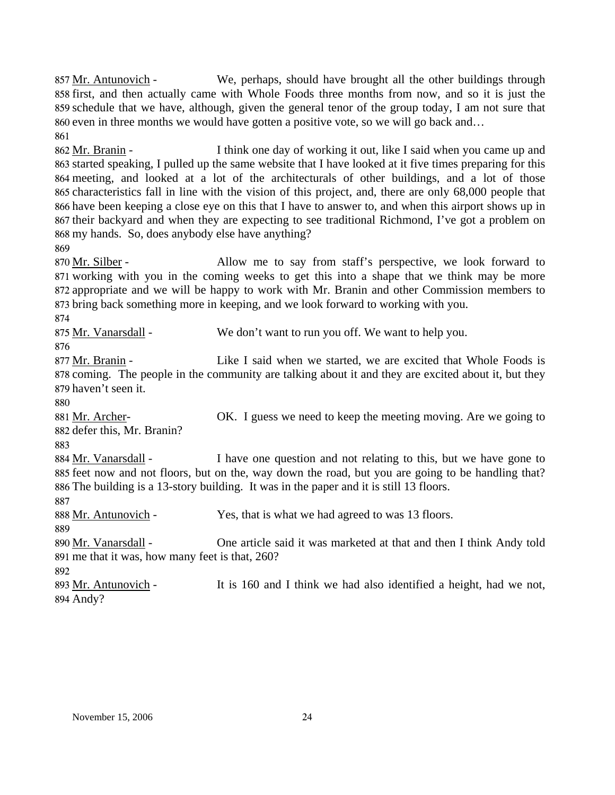We, perhaps, should have brought all the other buildings through 858 first, and then actually came with Whole Foods three months from now, and so it is just the 859 schedule that we have, although, given the general tenor of the group today, I am not sure that 860 even in three months we would have gotten a positive vote, so we will go back and... 857 Mr. Antunovich -861

I think one day of working it out, like I said when you came up and started speaking, I pulled up the same website that I have looked at it five times preparing for this 863 864 meeting, and looked at a lot of the architecturals of other buildings, and a lot of those 865 characteristics fall in line with the vision of this project, and, there are only 68,000 people that 866 have been keeping a close eye on this that I have to answer to, and when this airport shows up in 867 their backyard and when they are expecting to see traditional Richmond, I've got a problem on 868 my hands. So, does anybody else have anything? 862 Mr. Branin -

869

Allow me to say from staff's perspective, we look forward to 871 working with you in the coming weeks to get this into a shape that we think may be more 872 appropriate and we will be happy to work with Mr. Branin and other Commission members to 873 bring back something more in keeping, and we look forward to working with you. 870 Mr. Silber -

874

| 875 Mr. Vanarsdall - | We don't want to run you off. We want to help you.                                                   |
|----------------------|------------------------------------------------------------------------------------------------------|
| 876.                 |                                                                                                      |
| 877 Mr. Branin -     | Like I said when we started, we are excited that Whole Foods is                                      |
|                      | 878 coming. The people in the community are talking about it and they are excited about it, but they |

879 haven't seen it.

OK. I guess we need to keep the meeting moving. Are we going to 882 defer this, Mr. Branin? 881 Mr. Archer-

883

I have one question and not relating to this, but we have gone to 885 feet now and not floors, but on the, way down the road, but you are going to be handling that? The building is a 13-story building. It was in the paper and it is still 13 floors. 886 884 Mr. Vanarsdall -887

888 Mr. Antunovich - Yes, that is what we had agreed to was 13 floors.

889

One article said it was marketed at that and then I think Andy told me that it was, how many feet is that, 260? 891 890 Mr. Vanarsdall -

892

It is 160 and I think we had also identified a height, had we not, 893 Mr. Antunovich -

894 Andy?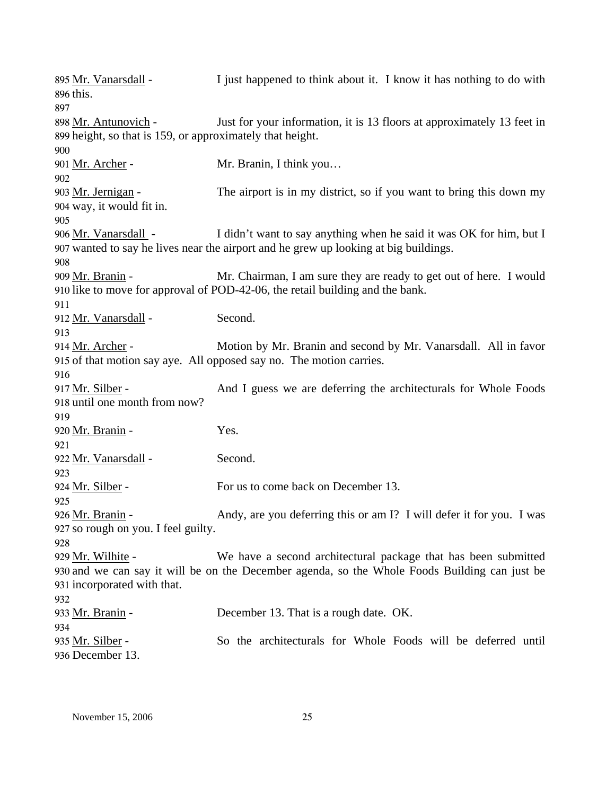| 895 Mr. Vanarsdall -                                      | I just happened to think about it. I know it has nothing to do with                           |
|-----------------------------------------------------------|-----------------------------------------------------------------------------------------------|
| 896 this.                                                 |                                                                                               |
| 897                                                       |                                                                                               |
| 898 Mr. Antunovich -                                      | Just for your information, it is 13 floors at approximately 13 feet in                        |
| 899 height, so that is 159, or approximately that height. |                                                                                               |
| 900                                                       |                                                                                               |
| 901 <u>Mr. Archer</u> -                                   | Mr. Branin, I think you                                                                       |
| 902                                                       |                                                                                               |
| 903 Mr. Jernigan -                                        | The airport is in my district, so if you want to bring this down my                           |
| 904 way, it would fit in.                                 |                                                                                               |
| 905                                                       |                                                                                               |
| 906 Mr. Vanarsdall -                                      | I didn't want to say anything when he said it was OK for him, but I                           |
|                                                           | 907 wanted to say he lives near the airport and he grew up looking at big buildings.          |
| 908                                                       |                                                                                               |
| 909 Mr. Branin -                                          | Mr. Chairman, I am sure they are ready to get out of here. I would                            |
|                                                           | 910 like to move for approval of POD-42-06, the retail building and the bank.                 |
| 911                                                       |                                                                                               |
| 912 Mr. Vanarsdall -                                      | Second.                                                                                       |
| 913                                                       |                                                                                               |
| 914 Mr. Archer -                                          | Motion by Mr. Branin and second by Mr. Vanarsdall. All in favor                               |
|                                                           | 915 of that motion say aye. All opposed say no. The motion carries.                           |
| 916                                                       |                                                                                               |
| 917 Mr. Silber -                                          | And I guess we are deferring the architecturals for Whole Foods                               |
| 918 until one month from now?                             |                                                                                               |
| 919                                                       |                                                                                               |
|                                                           |                                                                                               |
| 920 Mr. Branin -                                          | Yes.                                                                                          |
| 921                                                       |                                                                                               |
| 922 Mr. Vanarsdall -                                      | Second.                                                                                       |
| 923                                                       |                                                                                               |
| 924 <u>Mr. Silber</u> -                                   | For us to come back on December 13.                                                           |
| 925                                                       |                                                                                               |
| 926 Mr. Branin -                                          | Andy, are you deferring this or am I? I will defer it for you. I was                          |
| 927 so rough on you. I feel guilty.                       |                                                                                               |
| 928                                                       |                                                                                               |
| 929 Mr. Wilhite -                                         | We have a second architectural package that has been submitted                                |
|                                                           | 930 and we can say it will be on the December agenda, so the Whole Foods Building can just be |
| 931 incorporated with that.                               |                                                                                               |
| 932                                                       |                                                                                               |
| 933 <u>Mr. Branin</u> -                                   | December 13. That is a rough date. OK.                                                        |
| 934                                                       |                                                                                               |
| 935 Mr. Silber -                                          | So the architecturals for Whole Foods will be deferred until                                  |
| 936 December 13.                                          |                                                                                               |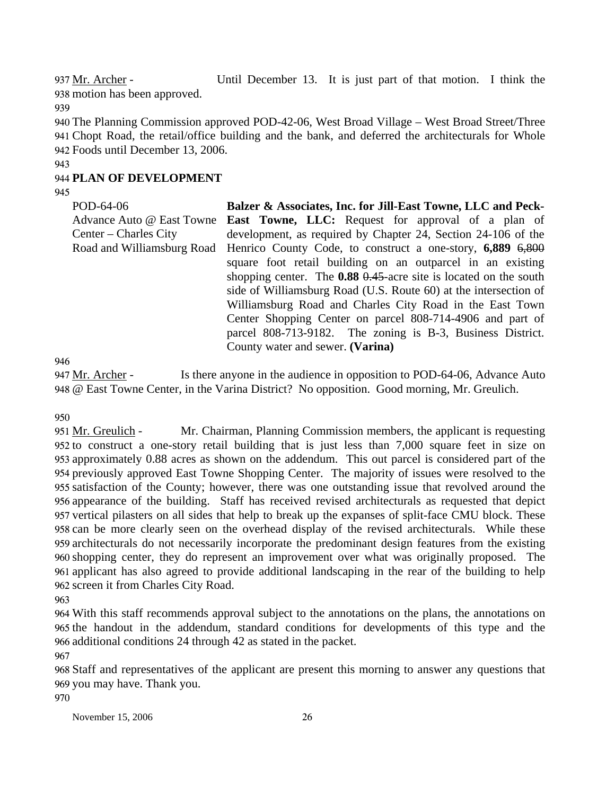Until December 13. It is just part of that motion. I think the 938 motion has been approved. 937 Mr. Archer -

939

940 The Planning Commission approved POD-42-06, West Broad Village – West Broad Street/Three 941 Chopt Road, the retail/office building and the bank, and deferred the architecturals for Whole 942 Foods until December 13, 2006.

#### 943

# 944 **PLAN OF DEVELOPMENT**

945

POD-64-06 Advance Auto @ East Towne Center – Charles City Road and Williamsburg Road **Balzer & Associates, Inc. for Jill-East Towne, LLC and Peck-East Towne, LLC:** Request for approval of a plan of development, as required by Chapter 24, Section 24-106 of the Henrico County Code, to construct a one-story, **6,889** 6,800 square foot retail building on an outparcel in an existing shopping center. The **0.88** 0.45-acre site is located on the south side of Williamsburg Road (U.S. Route 60) at the intersection of Williamsburg Road and Charles City Road in the East Town Center Shopping Center on parcel 808-714-4906 and part of parcel 808-713-9182. The zoning is B-3, Business District. County water and sewer. **(Varina)** 

946

Is there anyone in the audience in opposition to POD-64-06, Advance Auto @ East Towne Center, in the Varina District? No opposition. Good morning, Mr. Greulich. 948 947 Mr. Archer -

950

Mr. Chairman, Planning Commission members, the applicant is requesting 952 to construct a one-story retail building that is just less than 7,000 square feet in size on 953 approximately 0.88 acres as shown on the addendum. This out parcel is considered part of the previously approved East Towne Shopping Center. The majority of issues were resolved to the 954 955 satisfaction of the County; however, there was one outstanding issue that revolved around the 956 appearance of the building. Staff has received revised architecturals as requested that depict 957 vertical pilasters on all sides that help to break up the expanses of split-face CMU block. These 958 can be more clearly seen on the overhead display of the revised architecturals. While these 959 architecturals do not necessarily incorporate the predominant design features from the existing 960 shopping center, they do represent an improvement over what was originally proposed. The 961 applicant has also agreed to provide additional landscaping in the rear of the building to help 962 screen it from Charles City Road. 951 Mr. Greulich -

963

964 With this staff recommends approval subject to the annotations on the plans, the annotations on 965 the handout in the addendum, standard conditions for developments of this type and the 966 additional conditions 24 through 42 as stated in the packet.

967

968 Staff and representatives of the applicant are present this morning to answer any questions that 969 you may have. Thank you.

970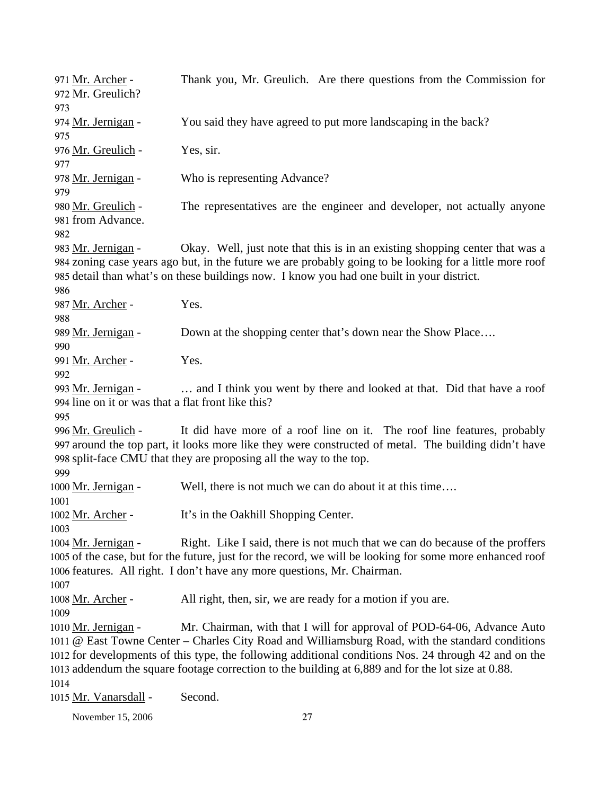Thank you, Mr. Greulich. Are there questions from the Commission for Mr. Greulich? 972 971 Mr. Archer -973 974 Mr. Jernigan - You said they have agreed to put more landscaping in the back? 975 976 Mr. Greulich - Yes, sir. 977 978 Mr. Jernigan - Who is representing Advance? 979 The representatives are the engineer and developer, not actually anyone 981 from Advance. 980 Mr. Greulich -982 Okay. Well, just note that this is in an existing shopping center that was a 984 zoning case years ago but, in the future we are probably going to be looking for a little more roof 985 detail than what's on these buildings now. I know you had one built in your district. 983 Mr. Jernigan -986 987 Mr. Archer - Yes. 988 989 Mr. Jernigan - Down at the shopping center that's down near the Show Place…. 990 991 Mr. Archer - Yes. 992 ... and I think you went by there and looked at that. Did that have a roof 994 line on it or was that a flat front like this? 993 Mr. Jernigan -995 It did have more of a roof line on it. The roof line features, probably 997 around the top part, it looks more like they were constructed of metal. The building didn't have 998 split-face CMU that they are proposing all the way to the top. 996 Mr. Greulich -999 1000 Mr. Jernigan - Well, there is not much we can do about it at this time…. 1001 1002 Mr. Archer - It's in the Oakhill Shopping Center. 1003 Right. Like I said, there is not much that we can do because of the proffers 1005 of the case, but for the future, just for the record, we will be looking for some more enhanced roof 1006 features. All right. I don't have any more questions, Mr. Chairman. 1004 Mr. Jernigan -1007 1008 Mr. Archer - All right, then, sir, we are ready for a motion if you are. 1009 Mr. Chairman, with that I will for approval of POD-64-06, Advance Auto @ East Towne Center – Charles City Road and Williamsburg Road, with the standard conditions 1011 1012 for developments of this type, the following additional conditions Nos. 24 through 42 and on the 1013 addendum the square footage correction to the building at 6,889 and for the lot size at 0.88. 1010 Mr. Jernigan -1014 1015 Mr. Vanarsdall - Second.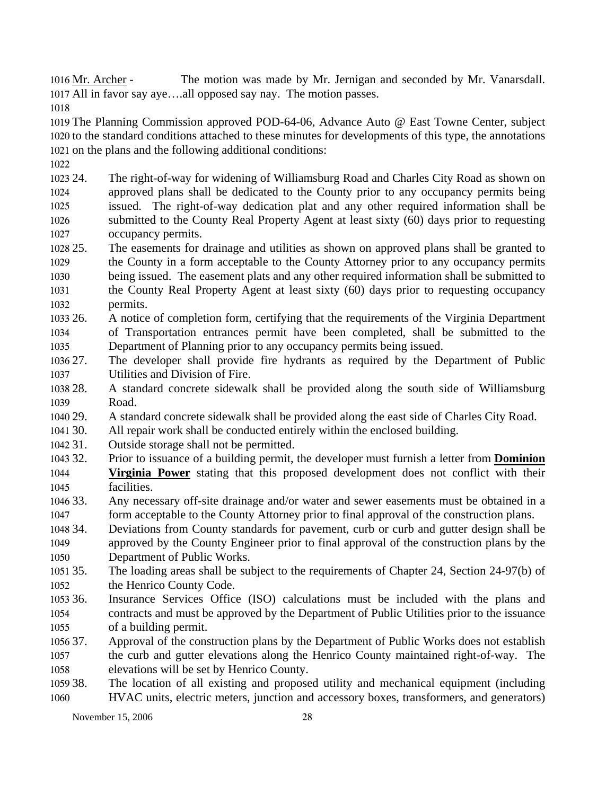The motion was made by Mr. Jernigan and seconded by Mr. Vanarsdall. 1017 All in favor say aye....all opposed say nay. The motion passes. 1016 Mr. Archer -

1018

1019 The Planning Commission approved POD-64-06, Advance Auto @ East Towne Center, subject 1020 to the standard conditions attached to these minutes for developments of this type, the annotations 1021 on the plans and the following additional conditions:

1022

1023 24. 1024 1025 1026 1027 The right-of-way for widening of Williamsburg Road and Charles City Road as shown on approved plans shall be dedicated to the County prior to any occupancy permits being issued. The right-of-way dedication plat and any other required information shall be submitted to the County Real Property Agent at least sixty (60) days prior to requesting occupancy permits.

- 1028 25. 1029 The easements for drainage and utilities as shown on approved plans shall be granted to the County in a form acceptable to the County Attorney prior to any occupancy permits
- 1030 1031 1032 being issued. The easement plats and any other required information shall be submitted to the County Real Property Agent at least sixty (60) days prior to requesting occupancy permits.
- 1033 26. 1034 1035 26. A notice of completion form, certifying that the requirements of the Virginia Department of Transportation entrances permit have been completed, shall be submitted to the Department of Planning prior to any occupancy permits being issued.
- 1036 27. 1037 The developer shall provide fire hydrants as required by the Department of Public Utilities and Division of Fire.
- 1038 28. 1039 28. A standard concrete sidewalk shall be provided along the south side of Williamsburg Road.
- 1040 29 29. A standard concrete sidewalk shall be provided along the east side of Charles City Road.
- 1041 30. All repair work shall be conducted entirely within the enclosed building.
- 1042 31. Outside storage shall not be permitted.
- 1043 32. Prior to issuance of a building permit, the developer must furnish a letter from **Dominion Virginia Power** stating that this proposed development does not conflict with their facilities. 1044 1045
- 1046 33. 1047 Any necessary off-site drainage and/or water and sewer easements must be obtained in a form acceptable to the County Attorney prior to final approval of the construction plans.
- 1048 34. 1049 1050 Deviations from County standards for pavement, curb or curb and gutter design shall be approved by the County Engineer prior to final approval of the construction plans by the Department of Public Works.
- 1051 35. 1052 The loading areas shall be subject to the requirements of Chapter 24, Section 24-97(b) of the Henrico County Code.
- 1053 36. 1054 1055 Insurance Services Office (ISO) calculations must be included with the plans and contracts and must be approved by the Department of Public Utilities prior to the issuance of a building permit.
- 1056 37. 1057 1058 Approval of the construction plans by the Department of Public Works does not establish the curb and gutter elevations along the Henrico County maintained right-of-way. The elevations will be set by Henrico County.
- 1059 38. 1060 The location of all existing and proposed utility and mechanical equipment (including HVAC units, electric meters, junction and accessory boxes, transformers, and generators)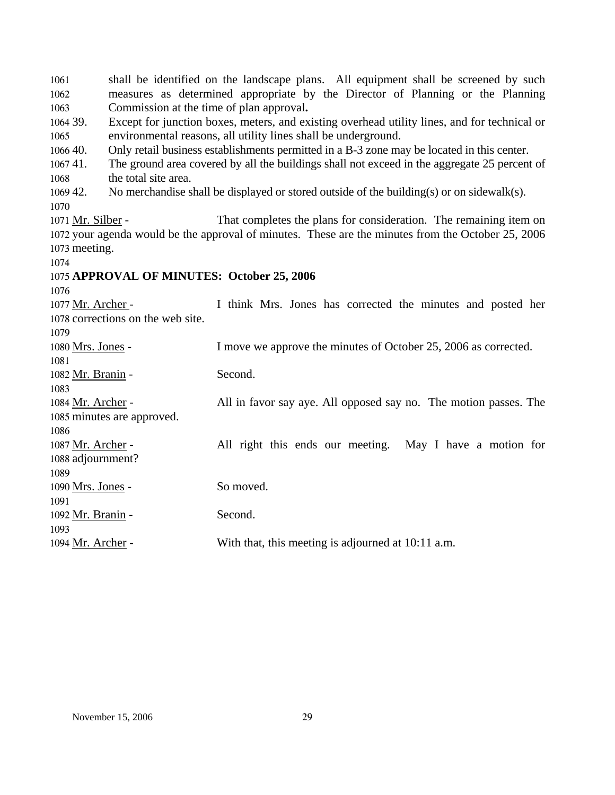shall be identified on the landscape plans. All equipment shall be screened by such measures as determined appropriate by the Director of Planning or the Planning Commission at the time of plan approval**.**  1061 1062 1063 1064 39. 1065 1066 40.  $106741.$ 1068 1069 42. 1070 Except for junction boxes, meters, and existing overhead utility lines, and for technical or environmental reasons, all utility lines shall be underground. Only retail business establishments permitted in a B-3 zone may be located in this center. The ground area covered by all the buildings shall not exceed in the aggregate 25 percent of the total site area. No merchandise shall be displayed or stored outside of the building(s) or on sidewalk(s). That completes the plans for consideration. The remaining item on 1072 your agenda would be the approval of minutes. These are the minutes from the October 25, 2006 1073 meeting. 1071 Mr. Silber -1074 1075 **APPROVAL OF MINUTES: October 25, 2006**  1076 I think Mrs. Jones has corrected the minutes and posted her 1078 corrections on the web site. 1077 Mr. Archer -1079 1080 Mrs. Jones - I move we approve the minutes of October 25, 2006 as corrected. 1081 1082 Mr. Branin - Second. 1083 All in favor say aye. All opposed say no. The motion passes. The 1085 minutes are approved. 1084 Mr. Archer -1086 All right this ends our meeting. May I have a motion for 1088 adjournment? 1087 Mr. Archer -1089 1090 Mrs. Jones - So moved. 1091 1092 Mr. Branin - Second. 1093 1094 Mr. Archer - With that, this meeting is adjourned at 10:11 a.m.